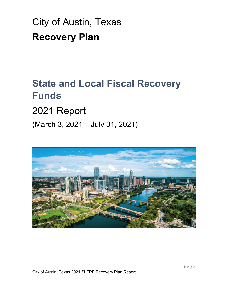# City of Austin, Texas **Recovery Plan**

# **State and Local Fiscal Recovery Funds**

# 2021 Report

(March 3, 2021 – July 31, 2021)

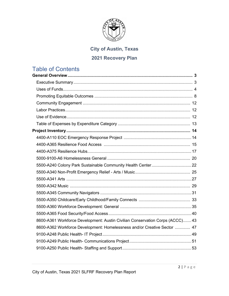

# **City of Austin, Texas**

### **2021 Recovery Plan**

# Table of Contents

| 8600-A361 Workforce Development: Austin Civilian Conservation Corps (ACCC) 43 |  |
|-------------------------------------------------------------------------------|--|
| 8600-A362 Workforce Development: Homelessness and/or Creative Sector  47      |  |
|                                                                               |  |
|                                                                               |  |
|                                                                               |  |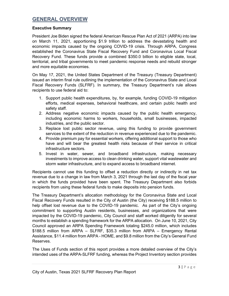### **GENERAL OVERVIEW**

#### **Executive Summary**

President Joe Biden signed the federal American Rescue Plan Act of 2021 (ARPA) into law on March 11, 2021, apportioning \$1.9 trillion to address the devastating health and economic impacts caused by the ongoing COVID-19 crisis. Through ARPA, Congress established the Coronavirus State Fiscal Recovery Fund and Coronavirus Local Fiscal Recovery Fund. These funds provide a combined \$350.0 billion to eligible state, local, territorial, and tribal governments to meet pandemic response needs and rebuild stronger and more equitable economies.

On May 17, 2021, the United States Department of the Treasury (Treasury Department) issued an interim final rule outlining the implementation of the Coronavirus State and Local Fiscal Recovery Funds (SLFRF). In summary, the Treasury Department's rule allows recipients to use federal aid to:

- 1. Support public health expenditures, by, for example, funding COVID-19 mitigation efforts, medical expenses, behavioral healthcare, and certain public health and safety staff.
- 2. Address negative economic impacts caused by the public health emergency, including economic harms to workers, households, small businesses, impacted industries, and the public sector.
- 3. Replace lost public sector revenue, using this funding to provide government services to the extent of the reduction in revenue experienced due to the pandemic.
- 4. Provide premium pay for essential workers, offering additional support to those who have and will bear the greatest health risks because of their service in critical infrastructure sectors.
- 5. Invest in water, sewer, and broadband infrastructure, making necessary investments to improve access to clean drinking water, support vital wastewater and storm water infrastructure, and to expand access to broadband internet.

Recipients cannot use this funding to offset a reduction directly or indirectly in net tax revenue due to a change in law from March 3, 2021 through the last day of the fiscal year in which the funds provided have been spent. The Treasury Department also forbids recipients from using these federal funds to make deposits into pension funds.

The Treasury Department's allocation methodology for the Coronavirus State and Local Fiscal Recovery Funds resulted in the City of Austin (the City) receiving \$188.5 million to help offset lost revenue due to the COVID-19 pandemic. As part of the City's ongoing commitment to supporting Austin residents, businesses, and organizations that were impacted by the COVID-19 pandemic, City Council and staff worked diligently for several months to establish a spending framework for the ARPA allocation. On June 10, 2021, City Council approved an ARPA Spending Framework totaling \$245.0 million, which includes \$188.5 million from ARPA – SLFRF, \$35.3 million from ARPA – Emergency Rental Assistance, \$11.4 million from ARPA - HOME, and \$9.8 million from the City's General Fund Reserves.

The Uses of Funds section of this report provides a more detailed overview of the City's intended uses of the ARPA-SLFRF funding, whereas the Project Inventory section provides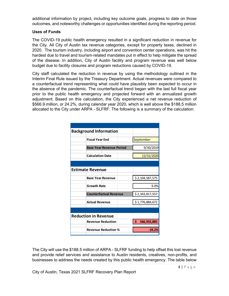<span id="page-3-0"></span>additional information by project, including key outcome goals, progress to date on those outcomes, and noteworthy challenges or opportunities identified during the reporting period.

#### **Uses of Funds**

The COVID-19 public health emergency resulted in a significant reduction in revenue for the City. All City of Austin tax revenue categories, except for property taxes, declined in 2020. The tourism industry, including airport and convention center operations, was hit the hardest due to travel and tourism-related mandates put in effect to help mitigate the spread of the disease. In addition, City of Austin facility and program revenue was well below budget due to facility closures and program reductions caused by COVID-19.

City staff calculated the reduction in revenue by using the methodology outlined in the Interim Final Rule issued by the Treasury Department. Actual revenues were compared to a counterfactual trend representing what could have plausibly been expected to occur in the absence of the pandemic. The counterfactual trend began with the last full fiscal year prior to the public health emergency and projected forward with an annualized growth adjustment. Based on this calculation, the City experienced a net revenue reduction of \$566.9 million, or 24.2%, during calendar year 2020, which is well above the \$188.5 million allocated to the City under ARPA - SLFRF. The following is a summary of the calculation:

| <b>Background Information</b>   |                    |  |  |  |
|---------------------------------|--------------------|--|--|--|
| <b>Fiscal Year End</b>          | September          |  |  |  |
| <b>Base Year Revenue Period</b> | 9/30/2019          |  |  |  |
| <b>Calculation Date</b>         | 12/31/2020         |  |  |  |
|                                 |                    |  |  |  |
| <b>Estimate Revenue</b>         |                    |  |  |  |
| <b>Base Year Revenue</b>        | \$2,104,587,575    |  |  |  |
| <b>Growth Rate</b>              | 9.0%               |  |  |  |
| <b>Counterfactual Revenue</b>   | \$2,343,817,557    |  |  |  |
| <b>Actual Revenue</b>           | \$1,776,884,672    |  |  |  |
|                                 |                    |  |  |  |
| <b>Reduction in Revenue</b>     |                    |  |  |  |
| <b>Revenue Reduction</b>        | -\$<br>566,932,885 |  |  |  |
| <b>Revenue Reduction %</b>      | $-24.2%$           |  |  |  |

The City will use the \$188.5 million of ARPA - SLFRF funding to help offset this lost revenue and provide relief services and assistance to Austin residents, creatives, non-profits, and businesses to address the needs created by this public health emergency. The table below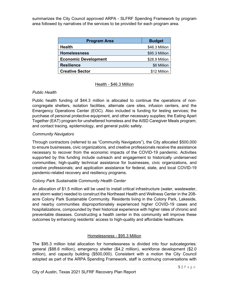summarizes the City Council approved ARPA - SLFRF Spending Framework by program area followed by narratives of the services to be provided for each program area.

| <b>Program Area</b>         | <b>Budget</b>  |  |
|-----------------------------|----------------|--|
| <b>Health</b>               | \$46.3 Million |  |
| <b>Homelessness</b>         | \$95.3 Million |  |
| <b>Economic Development</b> | \$28.9 Million |  |
| <b>Resilience</b>           | \$6 Million    |  |
| <b>Creative Sector</b>      | \$12 Million   |  |

#### Health - \$46.3 Million

#### *Public Health*

Public health funding of \$44.3 million is allocated to continue the operations of noncongregate shelters, isolation facilities, alternate care sites, infusion centers, and the Emergency Operations Center (EOC). Also included is funding for testing services; the purchase of personal protective equipment, and other necessary supplies; the Eating Apart Together (EAT) program for unsheltered homeless and the AISD Caregiver Meals program; and contact tracing, epidemiology, and general public safety.

#### *Community Navigators*

Through contractors (referred to as "Community Navigators"), the City allocated \$500,000 to ensure businesses, civic organizations, and creative professionals receive the assistance necessary to recover from the economic impacts of the COVID-19 pandemic. Activities supported by this funding include outreach and engagement to historically underserved communities; high-quality technical assistance for businesses, civic organizations, and creative professionals; and application assistance for federal, state, and local COVID-19 pandemic-related recovery and resiliency programs.

#### *Colony Park Sustainable Community Health Center*

An allocation of \$1.5 million will be used to install critical infrastructure (water, wastewater, and storm water) needed to construct the Northeast Health and Wellness Center in the 208 acre Colony Park Sustainable Community. Residents living in the Colony Park, Lakeside, and nearby communities disproportionately experienced higher COVID-19 cases and hospitalizations, compounded by their historical experience with higher rates of chronic and preventable diseases. Constructing a health center in this community will improve these outcomes by enhancing residents' access to high-quality and affordable healthcare.

#### Homelessness - \$95.3 Million

The \$95.3 million total allocation for homelessness is divided into four subcategories: general (\$88.6 million), emergency shelter (\$4.2 million), workforce development (\$2.0 million), and capacity building (\$500,000). Consistent with a motion the City Council adopted as part of the ARPA Spending Framework, staff is continuing conversations with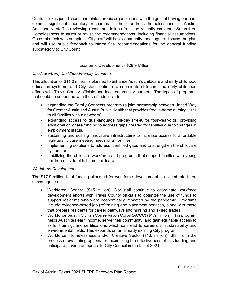Central Texas jurisdictions and philanthropic organizations with the goal of having partners commit significant monetary resources to help address homelessness in Austin. Additionally, staff is reviewing recommendations from the recently convened Summit on Homelessness to affirm or revise the recommendations, including financial assumptions. Once this review is complete, City staff will host community meetings to discuss the plan and will use public feedback to inform final recommendations for the general funding subcategory to City Council.

#### Economic Development - \$28.9 Million

#### *Childcare/Early Childhood/Family Connects*

This allocation of \$11.0 million is planned to enhance Austin's childcare and early childhood education systems, and City staff continue to coordinate childcare and early childhood efforts with Travis County officials and local community partners. The types of programs that could be supported with these funds include:

- expanding the Family Connects program (a joint partnership between United Way for Greater Austin and Austin Public Health that provides free in-home nursing visits to all families with a newborn),
- expanding access to dual-language full-day Pre-K for four-year-olds; providing additional childcare funding to address gaps created for families due to changes in employment status,
- sustaining and scaling innovative infrastructure to increase access to affordable high-quality care meeting needs of all families,
- implementing solutions to address identified gaps and to strengthen the childcare system, and
- stabilizing the childcare workforce and programs that support families with young children outside of full-time childcare.

#### *Workforce Development*

The \$17.9 million total funding allocated for workforce development is divided into three subcategories.

- Workforce: General (\$15 million): City staff continue to coordinate workforce development efforts with Travis County officials to optimize the use of funds to support residents who were economically impacted by the pandemic. Programs include evidence-based job (re)training and placement services, along with those that prepare residents for career pathways into nursing and skilled trades.
- Workforce: Austin Civilian Conservation Corps (ACCC) (\$1.9 million): This program helps Austinites earn income, serve their community, and gain equitable access to skills, training, and certifications which can lead to careers in sustainability and environmental fields. This expands on an already existing City program.
- Workforce: Homelessness and/or Creative Sector (\$1.0 million): Staff is in the process of evaluating options for maximizing the effectiveness of this funding and anticipate proving an update to City Council in the fall of 2021.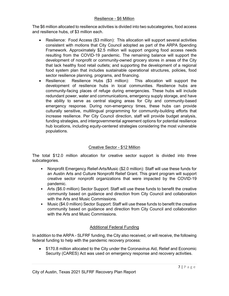#### Resilience - \$6 Million

The \$6 million allocated to resilience activities is divided into two subcategories, food access and resilience hubs, of \$3 million each.

- Resilience: Food Access (\$3 million): This allocation will support several activities consistent with motions that City Council adopted as part of the ARPA Spending Framework. Approximately \$2.5 million will support ongoing food access needs resulting from the COVID-19 pandemic. The remaining balance will support the development of nonprofit or community-owned grocery stores in areas of the City that lack healthy food retail outlets; and supporting the development of a regional food system plan that includes sustainable operational structures, policies, food sector resilience planning, programs, and financing.
- Resilience: Resilience Hubs (\$3 million): This allocation will support the development of resilience hubs in local communities. Resilience hubs are community-facing places of refuge during emergencies. These hubs will include redundant power, water and communications, emergency supply storage, and have the ability to serve as central staging areas for City and community-based emergency response. During non-emergency times, these hubs can provide culturally sensitive, multilingual programming for community-building efforts that increase resilience. Per City Council direction, staff will provide budget analysis, funding strategies, and intergovernmental agreement options for potential resilience hub locations, including equity-centered strategies considering the most vulnerable populations.

#### Creative Sector - \$12 Million

The total \$12.0 million allocation for creative sector support is divided into three subcategories.

- Nonprofit Emergency Relief-Arts/Music (\$2.0 million): Staff will use these funds for an Austin Arts and Culture Nonprofit Relief Grant. This grant program will support creative sector nonprofit organizations that were impacted by the COVID-19 pandemic.
- Arts (\$6.0 million) Sector Support: Staff will use these funds to benefit the creative community based on guidance and direction from City Council and collaboration with the Arts and Music Commissions.
- Music (\$4.0 million) Sector Support: Staff will use these funds to benefit the creative community based on guidance and direction from City Council and collaboration with the Arts and Music Commissions.

#### Additional Federal Funding

In addition to the ARPA - SLFRF funding, the City also received, or will receive, the following federal funding to help with the pandemic recovery process:

• \$170.8 million allocated to the City under the Coronavirus Aid, Relief and Economic Security (CARES) Act was used on emergency response and recovery activities.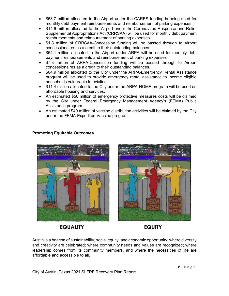- <span id="page-7-0"></span>• \$58.7 million allocated to the Airport under the CARES funding is being used for monthly debt payment reimbursements and reimbursement of parking expenses.
- \$14.6 million allocated to the Airport under the Coronavirus Response and Relief Supplemental Appropriations Act (CRRSAA) will be used for monthly debt payment reimbursements and reimbursement of parking expenses.
- \$1.8 million of CRRSAA-Concession funding will be passed through to Airport concessionaires as a credit to their outstanding balances.
- \$54.1 million allocated to the Airport under ARPA will be used for monthly debt payment reimbursements and reimbursement of parking expenses
- \$7.3 million of ARPA-Concession funding will be passed through to Airport concessionaires as a credit to their outstanding balances.
- \$64.9 million allocated to the City under the ARPA-Emergency Rental Assistance program will be used to provide emergency rental assistance to income eligible households vulnerable to eviction.
- \$11.4 million allocated to the City under the ARPA-HOME program will be used on affordable housing and services.
- An estimated \$50 million of emergency protective measures costs will be claimed by the City under Federal Emergency Management Agency's (FEMA) Public Assistance program.
- An estimated \$40 million of vaccine distribution activities will be claimed by the City under the FEMA-Expedited Vaccine program.

#### **Promoting Equitable Outcomes**





## **EQUALITY**

**EQUITY** 

Austin is a beacon of sustainability, social equity, and economic opportunity; where diversity and creativity are celebrated; where community needs and values are recognized; where leadership comes from its community members, and where the necessities of life are affordable and accessible to all.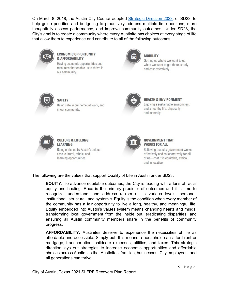On March 8, 2018, the Austin City Council adopted [Strategic](https://assets.austintexas.gov/financeonline/downloads/Austin-Strategic-Direction_2023.pdf) Direction 2023, or SD23, to help guide priorities and budgeting to proactively address multiple time horizons, more thoughtfully assess performance, and improve community outcomes. Under SD23, the City's goal is to create a community where every Austinite has choices at every stage of life that allow them to experience and contribute to all of the following outcomes:



#### **ECONOMIC OPPORTUNITY & AFFORDABILITY**

Having economic opportunities and resources that enable us to thrive in our community.



#### **MOBILITY**

Getting us where we want to go, when we want to get there, safely and cost-effectively.



**SAFETY** Being safe in our home, at work, and in our community.



#### **HEALTH & ENVIRONMENT**

Enjoying a sustainable environment and a healthy life, physically and mentally.



#### **CULTURE & LIFELONG LEARNING**

Being enriched by Austin's unique civic, cultural, ethnic, and learning opportunities.



#### **GOVERNMENT THAT WORKS FOR ALL**

Believing that city government works effectively and collaboratively for all of us-that it is equitable, ethical and innovative.

The following are the values that support Quality of Life in Austin under SD23:

**EQUITY:** To advance equitable outcomes, the City is leading with a lens of racial equity and healing. Race is the primary predictor of outcomes and it is time to recognize, understand, and address racism at its various levels: personal, institutional, structural, and systemic. Equity is the condition when every member of the community has a fair opportunity to live a long, healthy, and meaningful life. Equity embedded into Austin's values system means changing hearts and minds, transforming local government from the inside out, eradicating disparities, and ensuring all Austin community members share in the benefits of community progress.

**AFFORDABILITY:** Austinites deserve to experience the necessities of life as affordable and accessible. Simply put, this means a household can afford rent or mortgage, transportation, childcare expenses, utilities, and taxes. This strategic direction lays out strategies to increase economic opportunities and affordable choices across Austin, so that Austinites, families, businesses, City employees, and all generations can thrive.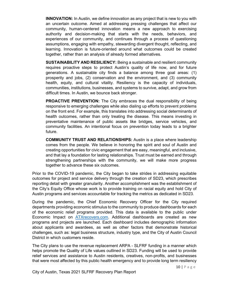**INNOVATION:** In Austin, we define innovation as any project that is new to you with an uncertain outcome. Aimed at addressing pressing challenges that affect our community, human-centered innovation means a new approach to exercising authority and decision-making that starts with the needs, behaviors, and experiences of our community, and continues through a process of questioning assumptions, engaging with empathy, stewarding divergent thought, reflecting, and learning. Innovation is future-oriented around what outcomes could be created together, rather than an analysis of already formed alternatives.

**SUSTAINABILITY AND RESILIENCY:** Being a sustainable and resilient community requires proactive steps to protect Austin's quality of life now, and for future generations. A sustainable city finds a balance among three goal areas: (1) prosperity and jobs, (2) conservation and the environment, and (3) community health, equity, and cultural vitality. Resiliency is the capacity of individuals, communities, institutions, businesses, and systems to survive, adapt, and grow from difficult times. In Austin, we bounce back stronger.

**PROACTIVE PREVENTION:** The City embraces the dual responsibility of being responsive to emerging challenges while also dialing up efforts to prevent problems on the front end. For example, this translates into addressing social determinants of health outcomes, rather than only treating the disease. This means investing in preventative maintenance of public assets like bridges, service vehicles, and community facilities. An intentional focus on prevention today leads to a brighter future.

**COMMUNITY TRUST AND RELATIONSHIPS:** Austin is a place where leadership comes from the people. We believe in honoring the spirit and soul of Austin and creating opportunities for civic engagement that are easy, meaningful, and inclusive, and that lay a foundation for lasting relationships. Trust must be earned and through strengthening partnerships with the community, we will make more progress together to advance these six outcomes.

Prior to the COVID-19 pandemic, the City began to take strides in addressing equitable outcomes for project and service delivery through the creation of SD23, which prescribes reporting detail with greater granularity. Another accomplishment was the establishment of the City's Equity Office whose work is to provide training on racial equity and hold City of Austin programs and services accountable for tracking the metrics as dedicated in SD23.

During the pandemic, the Chief Economic Recovery Officer for the City required departments providing economic stimulus to the community to produce dashboards for each of the economic relief programs provided. This data is available to the public under Economic Impact on **ATXrecovers.com**. Additional dashboards are created as new programs and projects are launched. Each dashboard includes demographic information about applicants and awardees, as well as other factors that demonstrate historical challenges, such as: legal business structure, industry type, and the City of Austin Council District in which customers reside.

The City plans to use the revenue replacement ARPA - SLFRF funding in a manner which helps promote the Quality of Life values outlined in SD23. Funding will be used to provide relief services and assistance to Austin residents, creatives, non-profits, and businesses that were most affected by this public health emergency and to provide long term resiliency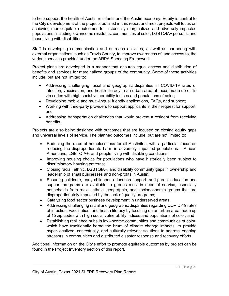to help support the health of Austin residents and the Austin economy. Equity is central to the City's development of the projects outlined in this report and most projects will focus on achieving more equitable outcomes for historically marginalized and adversely impacted populations, including low-income residents, communities of color, LGBTQIA+ persons, and those living with disabilities.

Staff is developing communication and outreach activities, as well as partnering with external organizations, such as Travis County, to improve awareness of, and access to, the various services provided under the ARPA Spending Framework.

Project plans are developed in a manner that ensures equal access and distribution of benefits and services for marginalized groups of the community. Some of these activities include, but are not limited to:

- Addressing challenging racial and geographic disparities in COVID-19 rates of infection, vaccination, and health literacy in an urban area of focus made up of 15 zip codes with high social vulnerability indices and populations of color;
- Developing mobile and multi-lingual friendly applications, FAQs, and support;
- Working with third-party providers to support applicants in their request for support; and
- Addressing transportation challenges that would prevent a resident from receiving benefits.

Projects are also being designed with outcomes that are focused on closing equity gaps and universal levels of service. The planned outcomes include, but are not limited to:

- Reducing the rates of homelessness for all Austinites, with a particular focus on reducing the disproportionate harm in adversely impacted populations – African Americans, LGBTQIA+, and people living with disabling conditions;
- Improving housing choice for populations who have historically been subject to discriminatory housing patterns;
- Closing racial, ethnic, LGBTQIA+, and disability community gaps in ownership and leadership of small businesses and non-profits in Austin;
- Ensuring childcare, early childhood education support, and parent education and support programs are available to groups most in need of service, especially households from racial, ethnic, geographic, and socioeconomic groups that are disproportionately impacted by the lack of quality programs;
- Catalyzing food sector business development in underserved areas;
- Addressing challenging racial and geographic disparities regarding COVID-19 rates of infection, vaccination, and health literacy by focusing on an urban area made up of 15 zip codes with high social vulnerability indices and populations of color; and
- Establishing resilience hubs in low-income communities and communities of color, which have traditionally borne the brunt of climate change impacts, to provide hyper-localized, contextually, and culturally relevant solutions to address ongoing stressors in communities and distributed disaster response and recovery efforts.

Additional information on the City's effort to promote equitable outcomes by project can be found in the Project Inventory section of this report.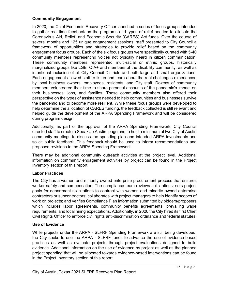#### <span id="page-11-0"></span>**Community Engagement**

In 2020, the Chief Economic Recovery Officer launched a series of focus groups intended to gather real-time feedback on the programs and types of relief needed to allocate the Coronavirus Aid, Relief, and Economic Security (CARES) Act funds. Over the course of several months and 125 unique engagement sessions, staff presented to City Council a framework of opportunities and strategies to provide relief based on the community engagement focus groups. Each of the six focus groups were specifically curated with 5-40 community members representing voices not typically heard in citizen communication. These community members represented multi-racial or ethnic groups, historically marginalized groups like LGBTQIA+ and members of the disability community, as well as intentional inclusion of all City Council Districts and both large and small organizations. Each engagement allowed staff to listen and learn about the real challenges experienced by local business owners, employees, residents, and City staff. Dozens of community members volunteered their time to share personal accounts of the pandemic's impact on their businesses, jobs, and families. These community members also offered their perspective on the types of assistance needed to help communities and businesses survive the pandemic and to become more resilient. While these focus groups were developed to help determine the allocation of CARES funding, the feedback collected is still relevant and helped guide the development of the ARPA Spending Framework and will be considered during program design.

Additionally, as part of the approval of the ARPA Spending Framework, City Council directed staff to create a SpeakUp Austin! page and to hold a minimum of two City of Austin community meetings to discuss the spending plan and intended ARPA investments and solicit public feedback. This feedback should be used to inform recommendations and proposed revisions to the ARPA Spending Framework.

There may be additional community outreach activities at the project level. Additional information on community engagement activities by project can be found in the Project Inventory section of this report.

#### **Labor Practices**

The City has a women and minority owned enterprise procurement process that ensures worker safety and compensation. The compliance team reviews solicitations; sets project goals for department solicitations to contract with women and minority owned enterprise contractors or subcontractors; collaborates with project managers to help identify scopes of work on projects; and verifies Compliance Plan information submitted by bidders/proposers which includes labor agreements, community benefits agreements, prevailing wage requirements, and local hiring expectations. Additionally, in 2020 the City hired its first Chief Civil Rights Officer to enforce civil rights anti-discrimination ordinance and federal statutes.

#### **Use of Evidence**

While projects under the ARPA - SLFRF Spending Framework are still being developed, the City seeks to use the ARPA - SLFRF funds to advance the use of evidence-based practices as well as evaluate projects through project evaluations designed to build evidence. Additional information on the use of evidence by project as well as the planned project spending that will be allocated towards evidence-based interventions can be found in the Project Inventory section of this report.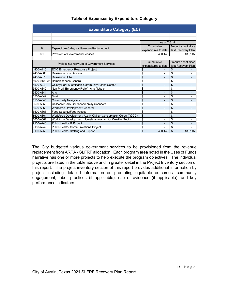<span id="page-12-0"></span>

| <b>Expenditure Category (EC)</b>              |                                                                  |                      |                                |  |
|-----------------------------------------------|------------------------------------------------------------------|----------------------|--------------------------------|--|
|                                               |                                                                  |                      |                                |  |
|                                               |                                                                  |                      |                                |  |
|                                               |                                                                  | As of 7-31-21        |                                |  |
| 6                                             | Cumulative                                                       | Amount spent since   |                                |  |
|                                               | Expenditure Category: Revenue Replacement                        | expenditures to date | last Recovery Plan             |  |
| 6.1                                           | Provision of Government Services                                 | 430,145              | 430.145                        |  |
|                                               |                                                                  |                      |                                |  |
| Project Inventory List of Government Services | Cumulative                                                       | Amount spent since   |                                |  |
|                                               |                                                                  | expenditures to date | last Recovery Plan             |  |
| 4400-A110                                     | EOC Emergency Response Project                                   | \$                   | \$                             |  |
| 4400-A365                                     | Resilience Food Access                                           | \$                   | \$                             |  |
| 4400-A375                                     | <b>Resilience Hubs</b>                                           | \$                   | \$                             |  |
|                                               | 5000-9100-A6 Homelessness General                                | \$                   | \$                             |  |
| 5500-A240                                     | Colony Park Sustainable Community Health Center                  | \$                   | \$                             |  |
| 5500-A340                                     | Non-Profit Emergency Relief - Arts / Music                       | \$                   | \$<br>$\overline{\phantom{a}}$ |  |
| 5500-A341                                     | Arts                                                             | \$                   | \$                             |  |
| 5500-A342                                     | <b>Music</b>                                                     | \$                   | \$<br>$\blacksquare$           |  |
| 5500-A345                                     | <b>Community Navigators</b>                                      | \$                   | \$                             |  |
| 5500-A350                                     | Childcare/Early Childhood/Family Connects                        | \$<br>$\blacksquare$ | \$<br>٠                        |  |
| 5500-A360                                     | <b>Workforce Development: General</b>                            | \$                   | \$                             |  |
| 5500-A365                                     | <b>Food Security/Food Access</b>                                 | \$                   | \$                             |  |
| 8600-A361                                     | Workforce Development: Austin Civilian Conservation Corps (ACCC) | \$<br>۰              | \$<br>$\overline{\phantom{0}}$ |  |
| 8600-A362                                     | Workforce Development: Homelessness and/or Creative Sector       | \$                   | \$                             |  |
| 9100-A248                                     | Public Health- IT Project                                        | \$                   | \$                             |  |
| 9100-A249                                     | Public Health- Communications Project                            | \$                   | \$                             |  |
| 9100-A250                                     | Public Health-Staffing and Support                               | \$<br>430,145        | \$<br>430.145                  |  |

#### **Table of Expenses by Expenditure Category**

The City budgeted various government services to be provisioned from the revenue replacement from ARPA - SLFRF allocation. Each program area noted in the Uses of Funds narrative has one or more projects to help execute the program objectives. The individual projects are listed in the table above and in greater detail in the Project Inventory section of this report. The project inventory section of this report provides additional information by project including detailed information on promoting equitable outcomes, community engagement, labor practices (if applicable), use of evidence (if applicable), and key performance indicators.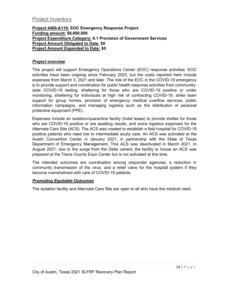### <span id="page-13-0"></span>Project Inventory

#### **Project 4400-A110: EOC Emergency Response Project Funding amount: \$6,000,000 Project Expenditure Category: 6.1 Provision of Government Services Project Amount Obligated to Date: \$0 Project Amount Expended to Date: \$0**

#### *Project overview*

This project will support Emergency Operations Center (EOC) response activities. EOC activities have been ongoing since February 2020, but the costs reported here include expenses from March 3, 2021 and later. The role of the EOC in the COVID-19 emergency is to provide support and coordination for public health response activities from communitywide COVID-19 testing, sheltering for those who are COVID-19 positive or under monitoring, sheltering for individuals at high risk of contracting COVID-19, strike team support for group homes, provision of emergency medical overflow services, public information campaigns, and managing logistics such as the distribution of personal protective equipment (PPE).

Expenses include an isolation/quarantine facility (hotel lease) to provide shelter for those who are COVID-19 positive or are awaiting results, and some logistics expenses for the Alternate Care Site (ACS). The ACS was created to establish a field hospital for COVID-19 positive patients who need low to intermediate acuity care. An ACS was activated at the Austin Convention Center in January 2021, in partnership with the State of Texas Department of Emergency Management. This ACS was deactivated in March 2021. In August 2021, due to the surge from the Delta variant, the facility to house an ACS was prepared at the Travis County Expo Center but is not activated at this time.

The intended outcomes are coordination among responder agencies, a reduction in community transmission of the virus, and a relief valve for the hospital system if they become overwhelmed with care of COVID-19 patients.

#### *Promoting Equitable Outcomes*

The isolation facility and Alternate Care Site are open to all who have the medical need.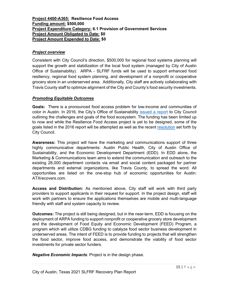#### <span id="page-14-0"></span>**Project 4400-A365: Resilience Food Access Funding amount: \$500,000 Project Expenditure Category: 6.1 Provision of Government Services Project Amount Obligated to Date: \$0 Project Amount Expended to Date: \$0**

#### *Project overview*

Consistent with City Council's direction, \$500,000 for regional food systems planning will support the growth and stabilization of the local food system (managed by City of Austin Office of Sustainability). ARPA - SLFRF funds will be used to support enhanced food resiliency, regional food system planning, and development of a nonprofit or cooperative grocery store in an underserved area. Additionally, City staff are actively collaborating with Travis County staff to optimize alignment of the City and County's food security investments.

#### *Promoting Equitable Outcomes*

**Goals:**There is a pronounced food access problem for low-income and communities of color in Austin. In 2016, the City's Office of Sustainability [issued a report](http://austintexas.gov/sites/default/files/files/Sustainability/07-27-16_Memo_to_MC_re-_Response_to_Food_Access_Resolution_20160303-020_....pdf) to City Council outlining the challenges and goals of the food ecosystem. The funding has been limited up to now and while the Resilience Food Access project is yet to be designed, some of the goals listed in the 2016 report will be attempted as well as the recent [resolution](https://www.austintexas.gov/edims/document.cfm?id=362264) set forth by City Council.

**Awareness:** This project will have the marketing and communications support of three highly communicative departments: Austin Public Health, City of Austin Office of Sustainability, and the Economic Development Department (EDD). In EDD alone, the Marketing & Communications team aims to extend the communication and outreach to the existing 28,000 department contacts via email and social content packaged for partner departments and external organizations, like Travis County, to spread the word. All opportunities are listed on the one-stop hub of economic opportunities for Austin: ATXrecovers.com.

**Access and Distribution:** As mentioned above, City staff will work with third party providers to support applicants in their request for support. In the project design, staff will work with partners to ensure the applications themselves are mobile and multi-language friendly with staff and system capacity to review.

**Outcomes:** The project is still being designed, but in the near-term, EDD is focusing on the deployment of ARPA funding to support nonprofit or cooperative grocery store development and the development of Food Equity and Economic Development (FEED) Program, a program which will utilize CDBG funding to catalyze food sector business development in underserved areas. The intent of FEED is to provide funding to projects that will strengthen the food sector, improve food access, and demonstrate the viability of food sector investments for private sector funders.

*Negative Economic Impacts:* Project is in the design phase.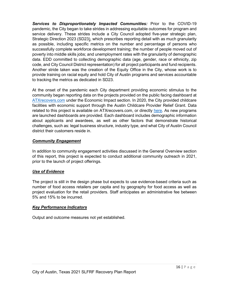*Services to Disproportionately Impacted Communities:* Prior to the COVID-19 pandemic, the City began to take strides in addressing equitable outcomes for program and service delivery. These strides include a City Council adopted five-year strategic plan, Strategic Direction 2023 (SD23), which prescribes reporting detail with as much granularity as possible, including specific metrics on the number and percentage of persons who successfully complete workforce development training; the number of people moved out of poverty into middle skills jobs; and unemployment rates with the granularity of demographic data. EDD committed to collecting demographic data (age, gender, race or ethnicity, zip code, and City Council District representation) for all project participants and fund recipients. Another stride taken was the creation of the Equity Office in the City, whose work is to provide training on racial equity and hold City of Austin programs and services accountable to tracking the metrics as dedicated in SD23.

At the onset of the pandemic each City department providing economic stimulus to the community began reporting data on the projects provided on the public facing dashboard at [ATXrecovers.com](https://www.austintexas.gov/department/covid-19-economic-recovery/economic-impact) under the Economic Impact section. In 2020, the City provided childcare facilities with economic support through the Austin Childcare Provider Relief Grant. Data related to this project is available on ATXrecovers.com, or directly [here.](https://app.powerbigov.us/view?r=eyJrIjoiZjdjYzM1ZjEtNGY4NS00NWFmLWEwZGUtNjQ3ZDkxODU4YzVlIiwidCI6IjVjNWUxOWY2LWE2YWItNGI0NS1iMWQwLWJlNDYwOGE5YTY3ZiJ9) As new programs are launched dashboards are provided. Each dashboard includes demographic information about applicants and awardees, as well as other factors that demonstrate historical challenges, such as: legal business structure, industry type, and what City of Austin Council district their customers reside in.

#### *Community Engagement*

In addition to community engagement activities discussed in the General Overview section of this report, this project is expected to conduct additional community outreach in 2021, prior to the launch of project offerings.

#### *Use of Evidence*

The project is still in the design phase but expects to use evidence-based criteria such as number of food access retailers per capita and by geography for food access as well as project evaluation for the retail providers. Staff anticipates an administrative fee between 5% and 15% to be incurred.

#### *Key Performance Indicators*

Output and outcome measures not yet established.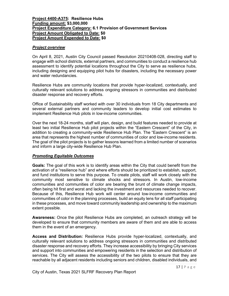#### <span id="page-16-0"></span>**Project 4400-A375: Resilience Hubs Funding amount: \$3,000,000 Project Expenditure Category: 6.1 Provision of Government Services Project Amount Obligated to Date: \$0 Project Amount Expended to Date: \$0**

#### *Project overview*

On April 8, 2021, Austin City Council passed Resolution 20210408-028, directing staff to engage with school districts, external partners, and communities to conduct a resilience hub assessment to identify potential locations throughout the City to serve as resilience hubs, including designing and equipping pilot hubs for disasters, including the necessary power and water redundancies.

Resilience Hubs are community locations that provide hyper-localized, contextually, and culturally relevant solutions to address ongoing stressors in communities and distributed disaster response and recovery efforts.

Office of Sustainability staff worked with over 30 individuals from 18 City departments and several external partners and community leaders to develop initial cost estimates to implement Resilience Hub pilots in low-income communities.

Over the next 18-24 months, staff will plan, design, and build features needed to provide at least two initial Resilience Hub pilot projects within the "Eastern Crescent" of the City, in addition to creating a community-wide Resilience Hub Plan. The "Eastern Crescent" is an area that represents the highest number of communities of color and low-income residents. The goal of the pilot projects is to gather lessons learned from a limited number of scenarios and inform a large city-wide Resilience Hub Plan.

#### *Promoting Equitable Outcomes*

**Goals:** The goal of this work is to identify areas within the City that could benefit from the activation of a "resilience hub" and where efforts should be prioritized to establish, support, and fund institutions to serve this purpose. To create pilots, staff will work closely with the community most sensitive to climate shocks and stressors. In Austin, low-income communities and communities of color are bearing the brunt of climate change impacts, often being hit first and worst and lacking the investment and resources needed to recover. Because of this, Resilience Hub work will center around low-income communities and communities of color in the planning processes, build an equity lens for all staff participating in these processes, and move toward community leadership and ownership to the maximum extent possible.

**Awareness:** Once the pilot Resilience Hubs are completed, an outreach strategy will be developed to ensure that community members are aware of them and are able to access them in the event of an emergency.

**Access and Distribution:** Resilience Hubs provide hyper-localized, contextually, and culturally relevant solutions to address ongoing stressors in communities and distributed disaster response and recovery efforts. They increase accessibility by bringing City services and support into communities and empowering residents in the selection and distribution of services. The City will assess the accessibility of the two pilots to ensure that they are reachable by all adjacent residents including seniors and children, disabled individuals, and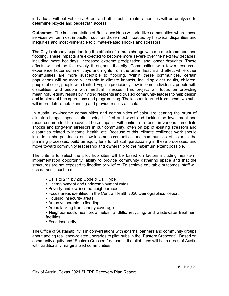individuals without vehicles. Street and other public realm amenities will be analyzed to determine bicycle and pedestrian access.

**Outcomes:** The implementation of Resilience Hubs will prioritize communities where these services will be most impactful, such as those most impacted by historical disparities and inequities and most vulnerable to climate-related shocks and stressors.

The City is already experiencing the effects of climate change with more extreme heat and flooding. These impacts are expected to become more severe over the next few decades, including more hot days, increased extreme precipitation, and longer droughts. These effects will not be felt evenly throughout the city. Communities with fewer resources experience hotter summer days and nights from the urban heat island effect while other communities are more susceptible to flooding. Within these communities, certain populations will be more vulnerable to climate impacts, including older adults, children, people of color, people with limited-English proficiency, low-income individuals, people with disabilities, and people with medical illnesses. This project will focus on providing meaningful equity results by inviting residents and trusted community leaders to help design and implement hub operations and programming. The lessons learned from these two hubs will inform future hub planning and provide results at scale.

In Austin, low-income communities and communities of color are bearing the brunt of climate change impacts, often being hit first and worst and lacking the investment and resources needed to recover. These impacts will continue to result in various immediate shocks and long-term stressors in our community, often on top of existing stressors and disparities related to income, health, etc. Because of this, climate resilience work should include a sharper focus on low-income communities and communities of color in the planning processes, build an equity lens for all staff participating in these processes, and move toward community leadership and ownership to the maximum extent possible.

The criteria to select the pilot hub sites will be based on factors including near-term implementation opportunity, ability to provide community gathering space and that the structures are not exposed to flooding or wildfire. To achieve equitable outcomes, staff will use datasets such as:

- Calls to 211 by Zip Code & Call Type
- Unemployment and underemployment rates
- Poverty and low-income neighborhoods
- Focus areas identified in the Central Health 2020 Demographics Report
- Housing insecurity areas
- Areas vulnerable to flooding
- Areas lacking tree canopy coverage
- Neighborhoods near brownfields, landfills, recycling, and wastewater treatment facilities
- Food insecurity

The Office of Sustainability is in conversations with external partners and community groups about adding resilience-related upgrades to pilot hubs in the "Eastern Crescent". Based on community equity and "Eastern Crescent" datasets, the pilot hubs will be in areas of Austin with traditionally marginalized communities.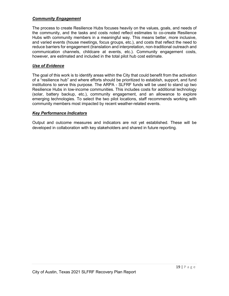#### *Community Engagement*

The process to create Resilience Hubs focuses heavily on the values, goals, and needs of the community, and the tasks and costs noted reflect estimates to co-create Resilience Hubs with community members in a meaningful way. This means better, more inclusive, and varied events (house meetings, focus groups, etc.), and costs that reflect the need to reduce barriers for engagement (translation and interpretation, non-traditional outreach and communication channels, childcare at events, etc.). Community engagement costs, however, are estimated and included in the total pilot hub cost estimate.

#### *Use of Evidence*

The goal of this work is to identify areas within the City that could benefit from the activation of a "resilience hub" and where efforts should be prioritized to establish, support, and fund institutions to serve this purpose. The ARPA - SLFRF funds will be used to stand up two Resilience Hubs in low-income communities. This includes costs for additional technology (solar, battery backup, etc.), community engagement, and an allowance to explore emerging technologies. To select the two pilot locations, staff recommends working with community members most impacted by recent weather-related events.

#### *Key Performance Indicators*

Output and outcome measures and indicators are not yet established. These will be developed in collaboration with key stakeholders and shared in future reporting.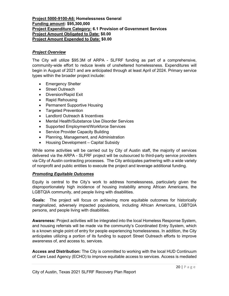#### <span id="page-19-0"></span>**Project 5000-9100-A6: Homelessness General Funding amount: \$95,300,000 Project Expenditure Category: 6.1 Provision of Government Services Project Amount Obligated to Date: \$0.00 Project Amount Expended to Date: \$0.00**

#### *Project Overview*

The City will utilize \$95.3M of ARPA - SLFRF funding as part of a comprehensive, community-wide effort to reduce levels of unsheltered homelessness. Expenditures will begin in August of 2021 and are anticipated through at least April of 2024. Primary service types within the broader project include:

- Emergency Shelter
- Street Outreach
- Diversion/Rapid Exit
- Rapid Rehousing
- Permanent Supportive Housing
- Targeted Prevention
- Landlord Outreach & Incentives
- Mental Health/Substance Use Disorder Services
- Supported Employment/Workforce Services
- Service Provider Capacity Building
- Planning, Management, and Administration
- Housing Development Capital Subsidy

While some activities will be carried out by City of Austin staff, the majority of services delivered via the ARPA - SLFRF project will be outsourced to third-party service providers via City of Austin contracting processes. The City anticipates partnering with a wide variety of nonprofit and public entities to execute the project and leverage additional funding.

#### *Promoting Equitable Outcomes*

Equity is central to the City's work to address homelessness, particularly given the disproportionately high incidence of housing instability among African Americans, the LGBTQIA community, and people living with disabilities.

**Goals:** The project will focus on achieving more equitable outcomes for historically marginalized, adversely impacted populations, including African Americans, LGBTQIA persons, and people living with disabilities.

**Awareness:** Project activities will be integrated into the local Homeless Response System, and housing referrals will be made via the community's Coordinated Entry System, which is a known single point of entry for people experiencing homelessness. In addition, the City anticipates utilizing a portion of its funding to support Street Outreach efforts to improve awareness of, and access to, services.

**Access and Distribution:** The City is committed to working with the local HUD Continuum of Care Lead Agency (ECHO) to improve equitable access to services. Access is mediated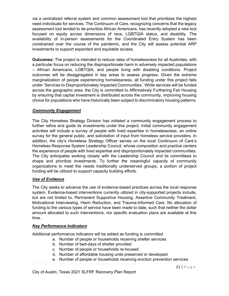via a centralized referral system and common assessment tool that prioritizes the highest need individuals for services. The Continuum of Care, recognizing concerns that the legacy assessment tool tended to de-prioritize African Americans, has recently adopted a new tool focused on equity across dimensions of race, LGBTQIA status, and disability. The availability of in-person assessments for the Coordinated Entry System has been constrained over the course of the pandemic, and the City will assess potential ARP investments to support expanded and equitable access.

**Outcomes:** The project is intended to reduce rates of homelessness for all Austinites, with a particular focus on reducing the disproportionate harm in adversely impacted populations – African Americans, LGBTQIA, and people living with disabling conditions. Project outcomes will be disaggregated in key areas to assess progress. Given the extreme marginalization of people experiencing homelessness, all funding under this project falls under 'Services to Disproportionately Impacted Communities.' While services will be funded across the geographic area, the City is committed to Affirmatively Furthering Fair Housing by ensuring that capital investment is distributed across the community, improving housing choice for populations who have historically been subject to discriminatory housing patterns.

#### *Community Engagement*

The City Homeless Strategy Division has initiated a community engagement process to further refine and guide its investments under this project. Initial community engagement activities will include a survey of people with lived expertise in homelessness, an online survey for the general public, and solicitation of input from homeless service providers. In addition, the city's Homeless Strategy Officer serves on the local Continuum of Care's Homeless Response System Leadership Council, whose composition and practice centers the experience of people with lived expertise and disproportionately impacted communities. The City anticipates working closely with the Leadership Council and its committees to shape and prioritize investments. To further the meaningful capacity of community organizations to meet the needs traditionally underserved groups, a portion of project funding will be utilized to support capacity building efforts.

#### *Use of Evidence*

The City seeks to advance the use of evidence-based practices across the local response system. Evidence-based interventions currently utilized in city-supported projects include, but are not limited to, Permanent Supportive Housing, Assertive Community Treatment, Motivational Interviewing, Harm Reduction, and Trauma-Informed Care. No allocation of funding to the various types of service have been made to date, such that neither the dollar amount allocated to such interventions, nor specific evaluation plans are available at this time.

#### *Key Performance Indicators*

Additional performance indicators will be added as funding is committed.

- a. Number of people or households receiving shelter services
	- b. Number of bed-days of shelter provided
	- c. Number of people or households re-housed
	- d. Number of affordable housing units preserved or developed
	- e. Number of people or households receiving eviction prevention services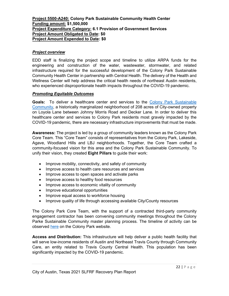#### <span id="page-21-0"></span>**Project 5500-A240: Colony Park Sustainable Community Health Center Funding amount: \$1,500,000 Project Expenditure Category: 6.1 Provision of Government Services Project Amount Obligated to Date: \$0 Project Amount Expended to Date: \$0**

#### *Project overview*

EDD staff is finalizing the project scope and timeline to utilize ARPA funds for the engineering and construction of the water, wastewater, stormwater, and related infrastructure required for the successful development of the Colony Park Sustainable Community Health Center in partnership with Central Health. The delivery of the Health and Wellness Center will help address the critical health needs of northeast Austin residents, who experienced disproportionate health impacts throughout the COVID-19 pandemic.

#### *Promoting Equitable Outcomes*

**Goals:** To deliver a healthcare center and services to the [Colony Park Sustainable](http://austintexas.gov/content/colony-park)  [Community,](http://austintexas.gov/content/colony-park) a historically marginalized neighborhood of 208 acres of City-owned property on Loyola Lane between Johnny Morris Road and Decker Lane. In order to deliver this healthcare center and services to Colony Park residents most gravely impacted by the COVID-19 pandemic, there are necessary infrastructure improvements that must be made.

**Awareness:** The project is led by a group of community leaders known as the Colony Park Core Team. This "Core Team" consists of representatives from the Colony Park, Lakeside, Agave, Woodland Hills and LBJ neighborhoods. Together, the Core Team crafted a community-focused vision for this area and the Colony Park Sustainable Community. To unify their vision, they created **Eight Pillars** to guide their work:

- Improve mobility, connectivity, and safety of community
- Improve access to health care resources and services
- Improve access to open spaces and activate parks
- Improve access to healthy food resources
- Improve access to economic vitality of community
- Improve educational opportunities
- Improve equal access to workforce housing
- Improve quality of life through accessing available City/County resources

The Colony Park Core Team, with the support of a contracted third-party community engagement contractor has been convening community meetings throughout the Colony Parke Sustainable Community master planning process. The timeline of activity can be observed [here](http://austintexas.gov/department/colony-park-sustainable-community-timeline) on the Colony Park website.

**Access and Distribution:** This infrastructure will help deliver a public health facility that will serve low-income residents of Austin and Northeast Travis County through Community Care, an entity related to Travis County Central Health. This population has been significantly impacted by the COVID-19 pandemic.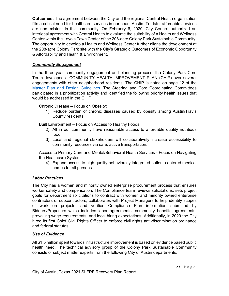**Outcomes:** The agreement between the City and the regional Central Health organization fills a critical need for healthcare services in northeast Austin. To date, affordable services are non-existent in this community. On February 6, 2020, City Council authorized an interlocal agreement with Central Health to evaluate the suitability of a Health and Wellness Center within the Loyola Town Center of the 208-acre Colony Park Sustainable Community. The opportunity to develop a Health and Wellness Center further aligns the development at the 208-acre Colony Park site with the City's Strategic Outcomes of Economic Opportunity & Affordability and Health & Environment.

#### *Community Engagement*

In the three-year community engagement and planning process, the Colony Park Core Team developed a COMMUNITY HEALTH IMPROVEMENT PLAN (CHIP) over several engagements with other neighborhood residents. The CHIP is noted on page 12 of the [Master Plan and Design Guidelines.](http://www.austintexas.gov/edims/document.cfm?id=223245) The Steering and Core Coordinating Committees participated in a prioritization activity and identified the following priority health issues that would be addressed in the CHIP:

Chronic Disease – Focus on Obesity:

1) Reduce burden of chronic diseases caused by obesity among Austin/Travis County residents.

Built Environment – Focus on Access to Healthy Foods:

- 2) All in our community have reasonable access to affordable quality nutritious food.
- 3) Local and regional stakeholders will collaboratively increase accessibility to community resources via safe, active transportation.

Access to Primary Care and Mental/Behavioral Health Services - Focus on Navigating the Healthcare System:

4) Expand access to high-quality behaviorally integrated patient-centered medical homes for all persons.

#### *Labor Practices*

The City has a women and minority owned enterprise procurement process that ensures worker safety and compensation. The Compliance team reviews solicitations; sets project goals for department solicitations to contract with women and minority owned enterprise contractors or subcontractors; collaborates with Project Managers to help identify scopes of work on projects; and verifies Compliance Plan information submitted by Bidders/Proposers which includes labor agreements, community benefits agreements, prevailing wage requirements, and local hiring expectations. Additionally, in 2020 the City hired its first Chief Civil Rights Officer to enforce civil rights anti-discrimination ordinance and federal statutes.

#### *Use of Evidence*

All \$1.5 million spent towards infrastructure improvement is based on evidence based public health need. The technical advisory group of the Colony Park Sustainable Community consists of subject matter experts from the following City of Austin departments: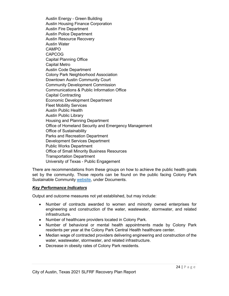Austin Energy - Green Building Austin Housing Finance Corporation Austin Fire Department Austin Police Department Austin Resource Recovery Austin Water CAMPO CAPCOG Capital Planning Office Capital Metro Austin Code Department Colony Park Neighborhood Association Downtown Austin Community Court Community Development Commission Communications & Public Information Office Capital Contracting Economic Development Department Fleet Mobility Services Austin Public Health Austin Public Library Housing and Planning Department Office of Homeland Security and Emergency Management Office of Sustainability Parks and Recreation Department Development Services Department Public Works Department Office of Small Minority Business Resources Transportation Department University of Texas - Public Engagement

There are recommendations from these groups on how to achieve the public health goals set by the community. Those reports can be found on the public facing Colony Park Sustainable Community [website,](http://austintexas.gov/content/colony-park) under Documents.

#### *Key Performance Indicators*

Output and outcome measures not yet established, but may include:

- Number of contracts awarded to women and minority owned enterprises for engineering and construction of the water, wastewater, stormwater, and related infrastructure.
- Number of healthcare providers located in Colony Park.
- Number of behavioral or mental health appointments made by Colony Park residents per year at the Colony Park Central Health healthcare center.
- Median wage of contracted providers delivering engineering and construction of the water, wastewater, stormwater, and related infrastructure.
- Decrease in obesity rates of Colony Park residents.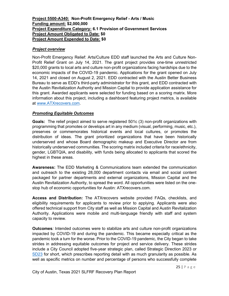#### <span id="page-24-0"></span>**Project 5500-A340: Non-Profit Emergency Relief - Arts / Music Funding amount: \$2,000,000 Project Expenditure Category: 6.1 Provision of Government Services Project Amount Obligated to Date: \$0 Project Amount Expended to Date: \$0**

#### *Project overview*

Non-Profit Emergency Relief: Arts/Culture EDD staff launched the Arts and Culture Non-Profit Relief Grant on July 14, 2021. The grant project provides one-time unrestricted \$20,000 grants to local arts and culture non-profit organizations facing hardships due to the economic impacts of the COVID-19 pandemic. Applications for the grant opened on July 14, 2021 and closed on August 2, 2021. EDD contracted with the Austin Better Business Bureau to serve as EDD's third-party administrator for this grant, and EDD contracted with the Austin Revitalization Authority and Mission Capital to provide application assistance for this grant. Awarded applicants were selected for funding based on a scoring matrix. More information about this project, including a dashboard featuring project metrics, is available at [www.ATXrecovers.com.](http://www.atxrecovers.com/)

#### *Promoting Equitable Outcomes*

**Goals:**The relief project aimed to serve registered 501c (3) non-profit organizations with programming that promotes or develops art in any medium (visual, performing, music, etc.), preserves or commemorates historical events and local cultures, or promotes the distribution of ideas. The grant prioritized organizations that have been historically underserved and whose Board demographic makeup and Executive Director are from historically underserved communities. The scoring matrix included criteria for race/ethnicity, gender, LGBTQIA, and disability, with funds being allocated to applicants that scored the highest in these areas.

**Awareness:** The EDD Marketing & Communications team extended the communication and outreach to the existing 28,000 department contacts via email and social content packaged for partner departments and external organizations, Mission Capital and the Austin Revitalization Authority, to spread the word. All opportunities were listed on the onestop hub of economic opportunities for Austin: ATXrecovers.com.

**Access and Distribution:** The ATXrecovers website provided FAQs, checklists, and eligibility requirements for applicants to review prior to applying. Applicants were also offered technical support from City staff as well as Mission Capital and Austin Revitalization Authority. Applications were mobile and multi-language friendly with staff and system capacity to review.

**Outcomes***:* Intended outcomes were to stabilize arts and culture non-profit organizations impacted by COVID-19 and during the pandemic. This became especially critical as the pandemic took a turn for the worse. Prior to the COVID-19 pandemic, the City began to take strides in addressing equitable outcomes for project and service delivery. These strides include a City Council adopted five-year strategic plan, called Strategic Direction 2023 or [SD23](https://www.austintexas.gov/financeonline/afo_content.cfm?s=73) for short, which prescribes reporting detail with as much granularity as possible. As well as specific metrics on number and percentage of persons who successfully complete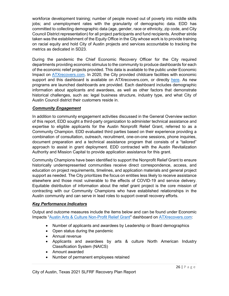workforce development training; number of people moved out of poverty into middle skills jobs; and unemployment rates with the granularity of demographic data. EDD has committed to collecting demographic data (age, gender, race or ethnicity, zip code, and City Council District representation) for all project participants and fund recipients. Another stride taken was the establishment of the Equity Office in the City whose work is to provide training on racial equity and hold City of Austin projects and services accountable to tracking the metrics as dedicated in SD23.

During the pandemic the Chief Economic Recovery Officer for the City required departments providing economic stimulus to the community to produce dashboards for each of the economic relief projects provided. This data is available to the public under Economic Impact on [ATXrecovers.com.](https://www.austintexas.gov/department/covid-19-economic-recovery/economic-impact) In 2020, the City provided childcare facilities with economic support and this dashboard is available on ATXrecovers.com, or directly [here.](https://app.powerbigov.us/view?r=eyJrIjoiZjdjYzM1ZjEtNGY4NS00NWFmLWEwZGUtNjQ3ZDkxODU4YzVlIiwidCI6IjVjNWUxOWY2LWE2YWItNGI0NS1iMWQwLWJlNDYwOGE5YTY3ZiJ9) As new programs are launched dashboards are provided. Each dashboard includes demographic information about applicants and awardees, as well as other factors that demonstrate historical challenges, such as: legal business structure, industry type, and what City of Austin Council district their customers reside in.

#### *Community Engagement*

In addition to community engagement activities discussed in the General Overview section of this report, EDD sought a third-party organization to administer technical assistance and expertise to eligible applicants for the Austin Nonprofit Relief Grant, referred to as a Community Champion. EDD evaluated third parties based on their experience providing a combination of consultation, outreach, recruitment, one-on-one sessions, phone inquiries, document preparation and a technical assistance program that consists of a "tailored" approach to assist in grant deployment. EDD contracted with the Austin Revitalization Authority and Mission Capital to provide application assistance for this grant.

Community Champions have been identified to support the Nonprofit Relief Grant to ensure historically underrepresented communities receive direct correspondence, access, and education on project requirements, timelines, and application materials and general project support as needed. The City prioritizes the focus on entities less likely to receive assistance elsewhere and those most vulnerable to the effects of COVID-19 and service delivery. Equitable distribution of information about the relief grant project is the core mission of contracting with our Community Champions who have established relationships in the Austin community and can serve in lead roles to support overall recovery efforts.

#### *Key Performance Indicators*

Output and outcome measures include the items below and can be found under Economic Impacts ["Austin Arts & Culture Non-Profit Relief Grant"](https://app.powerbigov.us/view?r=eyJrIjoiM2FmMTg2YjQtMDcxMC00NWM0LTgxMjUtZDg3Y2NlMGFkZDFmIiwidCI6IjVjNWUxOWY2LWE2YWItNGI0NS1iMWQwLWJlNDYwOGE5YTY3ZiJ9) dashboard on [ATXrecovers.com:](https://www.austintexas.gov/economicrecovery)

- Number of applicants and awardees by Leadership or Board demographics
- Open status during the pandemic
- Annual revenue
- Applicants and awardees by arts & culture North American Industry Classification System (NAICS)
- Amount awarded
- Number of permanent employees retained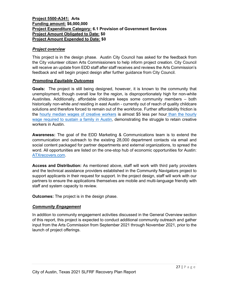#### <span id="page-26-0"></span>**Project 5500-A341: Arts Funding amount: \$6,000,000 Project Expenditure Category: 6.1 Provision of Government Services Project Amount Obligated to Date: \$0 Project Amount Expended to Date: \$0**

#### *Project overview*

This project is in the design phase. Austin City Council has asked for the feedback from the City volunteer citizen Arts Commissioners to help inform project creation. City Council will receive an update from EDD staff after staff receives and reviews the Arts Commission's feedback and will begin project design after further guidance from City Council.

#### *Promoting Equitable Outcomes*

**Goals:**The project is still being designed, however, it is known to the community that unemployment, though overall low for the region, is disproportionately high for non-white Austinites. Additionally, affordable childcare keeps some community members – both historically non-white *and* residing in east Austin - currently out of reach of quality childcare solutions and therefore forced to remain out of the workforce. Further affordability friction is the [hourly median wages of creative workers](https://data.austintexas.gov/stories/s/jaia-eaet) is almost \$5 less per hour than the hourly [wage required to sustain a family in Austin,](https://data.austintexas.gov/stories/s/rt9q-qkym) demonstrating the struggle to retain creative workers in Austin.

**Awareness:** The goal of the EDD Marketing & Communications team is to extend the communication and outreach to the existing 28,000 department contacts via email and social content packaged for partner departments and external organizations, to spread the word. All opportunities are listed on the one-stop hub of economic opportunities for Austin: [ATXrecovers.com.](https://www.austintexas.gov/economicrecovery)

**Access and Distribution:** As mentioned above, staff will work with third party providers and the technical assistance providers established in the Community Navigators project to support applicants in their request for support. In the project design, staff will work with our partners to ensure the applications themselves are mobile and multi-language friendly with staff and system capacity to review.

**Outcomes:** The project is in the design phase.

#### *Community Engagement*

In addition to community engagement activities discussed in the General Overview section of this report, this project is expected to conduct additional community outreach and gather input from the Arts Commission from September 2021 through November 2021, prior to the launch of project offerings.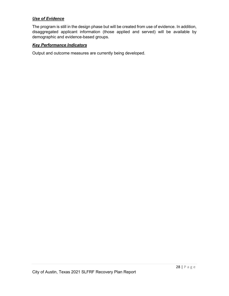#### *Use of Evidence*

The program is still in the design phase but will be created from use of evidence. In addition, disaggregated applicant information (those applied and served) will be available by demographic and evidence-based groups.

#### *Key Performance Indicators*

Output and outcome measures are currently being developed.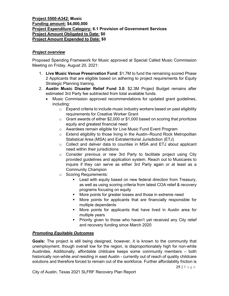#### <span id="page-28-0"></span>**Project 5500-A342: Music Funding amount: \$4,000,000 Project Expenditure Category: 6.1 Provision of Government Services Project Amount Obligated to Date: \$0 Project Amount Expended to Date: \$0**

#### *Project overview*

Proposed Spending Framework for Music approved at Special Called Music Commission Meeting on Friday, August 20, 2021:

- 1. **Live Music Venue Preservation Fund**: \$1.7M to fund the remaining scored Phase 2 Applicants that are eligible based on adhering to project requirements for Equity Strategic Planning training.
- 2. **Austin Music Disaster Relief Fund 3.0**: \$2.3M Project Budget remains after estimated 3rd Party fee subtracted from total available funds.
	- Music Commission approved recommendations for updated grant guidelines, including:
		- o Expand criteria to include music industry workers based on past eligibility requirements for Creative Worker Grant
		- $\circ$  Grant awards of either \$2,000 or \$1,000 based on scoring that prioritizes equity and greatest financial need
		- o Awardees remain eligible for Live Music Fund Event Program
		- o Extend eligibility to those living in the Austin–Round Rock Metropolitan Statistical Area (MSA) and Extraterritorial Jurisdiction (ETJ)
		- o Collect and deliver data to counties in MSA and ETJ about applicant need within their jurisdictions
		- o Consider previous or new 3rd Party to facilitate project using City provided guidelines and application system. Reach out to Musicares to inquire if they can serve as either 3rd Party again or at least as a Community Champion
		- o Scoring Requirements:
			- **EXECT** Lead with equity based on new federal direction from Treasury, as well as using scoring criteria from latest COA relief & recovery programs focusing on equity
			- **More points for greater losses and those in extreme need**
			- More points for applicants that are financially responsible for multiple dependents
			- More points for applicants that have lived in Austin area for multiple years
			- **Priority given to those who haven't yet received any City relief** and recovery funding since March 2020

#### *Promoting Equitable Outcomes*

**Goals:** The project is still being designed, however, it is known to the community that unemployment, though overall low for the region, is disproportionately high for non-white Austinites. Additionally, affordable childcare keeps some community members – both historically non-white *and* residing in east Austin - currently out of reach of quality childcare solutions and therefore forced to remain out of the workforce. Further affordability friction is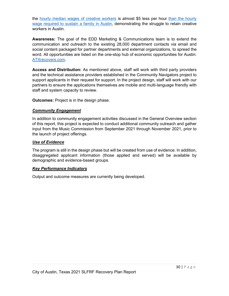the [hourly](https://data.austintexas.gov/stories/s/jaia-eaet) median wages of [creative](https://data.austintexas.gov/stories/s/jaia-eaet) workers is almost \$5 less per hour than the hourly wage [required](https://data.austintexas.gov/stories/s/rt9q-qkym) to sustain a family in Austin, demonstrating the struggle to retain creative workers in Austin.

**Awareness:** The goal of the EDD Marketing & Communications team is to extend the communication and outreach to the existing 28,000 department contacts via email and social content packaged for partner departments and external organizations, to spread the word. All opportunities are listed on the one-stop hub of economic opportunities for Austin: ATXrecovers.com.

**Access and Distribution:** As mentioned above, staff will work with third party providers and the technical assistance providers established in the Community Navigators project to support applicants in their request for support. In the project design, staff will work with our partners to ensure the applications themselves are mobile and multi-language friendly with staff and system capacity to review.

**Outcomes:** Project is in the design phase.

#### *Community Engagement*

In addition to community engagement activities discussed in the General Overview section of this report, this project is expected to conduct additional community outreach and gather input from the Music Commission from September 2021 through November 2021, prior to the launch of project offerings.

#### *Use of Evidence*

The program is still in the design phase but will be created from use of evidence. In addition, disaggregated applicant information (those applied and served) will be available by demographic and evidence-based groups.

#### *Key Performance Indicators*

Output and outcome measures are currently being developed.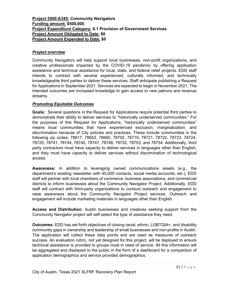#### <span id="page-30-0"></span>**Project 5500-A345: Community Navigators Funding amount: \$500,000 Project Expenditure Category: 6.1 Provision of Government Services Project Amount Obligated to Date: \$0 Project Amount Expended to Date: \$0**

#### *Project overview*

Community Navigators will help support local businesses, non-profit organizations, and creative professionals impacted by the COVID-19 pandemic by offering application assistance and technical assistance for local, state, and federal relief projects. EDD staff intends to contract with several experienced, culturally informed, and technically knowledgeable third parties to deliver these services. Staff anticipate publishing a Request for Applications in September 2021. Services are expected to begin in November 2021. The intended outcomes are increased knowledge to gain access to new patrons and revenue streams.

#### *Promoting Equitable Outcomes*

**Goals:**Several questions in the Request for Applications require potential third parties to demonstrate their ability to deliver services to "historically underserved communities." For the purposes of this Request for Applications, "historically underserved communities" means local communities that have experienced exclusion, marginalization, and discrimination because of City policies and practices. These include communities in the following zip codes: 78617, 78653, 78660, 78702, 78719, 78721, 78722, 78723, 78724, 78725, 78741, 78744, 78745, 78747, 78748, 78752, 78753, and 78754. Additionally, third party contractors must have capacity to deliver services in languages other than English, and they must have capacity to deliver services without discrimination of technological access.

**Awareness:** In addition to leveraging owned communications assets (e.g., the department's existing newsletter with 45,000 contacts, social media accounts, etc.), EDD staff will partner with local chambers of commerce, business associations, and commercial districts to inform businesses about the Community Navigator Project. Additionally, EDD staff will contract with third-party organizations to conduct outreach and engagement to raise awareness about the Community Navigator Project services. Outreach and engagement will include marketing materials in languages other than English.

**Access and Distribution:** Austin businesses and creatives seeking support from the Community Navigator project will self-select the type of assistance they need.

**Outcomes:** EDD has set forth objectives of closing racial, ethnic, LGBTQIA+, and disability community gaps in ownership and leadership of small businesses and non-profits in Austin. The application will collect these data points and are used as measures of outreach success. An evaluation rubric, not yet designed for this project, will be deployed to ensure technical assistance is provided to groups most in need of service. All this information will be aggregated and displayed to the public in the form of a dashboard for a comparison of application demographics and service provided demographics.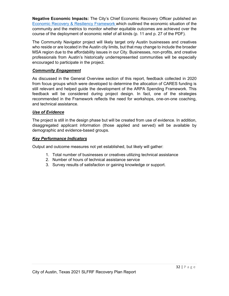**Negative Economic Impacts:** The City's Chief Economic Recovery Officer published an [Economic Recovery & Resiliency Framework](https://www.speakupaustin.org/8447/widgets/26878/documents/18608) which outlined the economic situation of the community and the metrics to monitor whether equitable outcomes are achieved over the course of the deployment of economic relief of all kinds (p. 11 and p. 27 of the PDF).

The Community Navigator project will likely target only Austin businesses and creatives who reside or are located in the Austin city limits, but that may change to include the broader MSA region due to the affordability issues in our City. Businesses, non-profits, and creative professionals from Austin's historically underrepresented communities will be especially encouraged to participate in the project.

#### *Community Engagement*

As discussed in the General Overview section of this report, feedback collected in 2020 from focus groups which were developed to determine the allocation of CARES funding is still relevant and helped guide the development of the ARPA Spending Framework. This feedback will be considered during project design. In fact, one of the strategies recommended in the Framework reflects the need for workshops, one-on-one coaching, and technical assistance.

#### *Use of Evidence*

The project is still in the design phase but will be created from use of evidence. In addition, disaggregated applicant information (those applied and served) will be available by demographic and evidence-based groups.

#### *Key Performance Indicators*

Output and outcome measures not yet established, but likely will gather:

- 1. Total number of businesses or creatives utilizing technical assistance
- 2. Number of hours of technical assistance service
- 3. Survey results of satisfaction or gaining knowledge or support.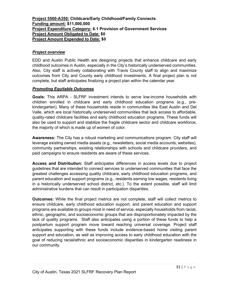#### <span id="page-32-0"></span>**Project 5500-A350: Childcare/Early Childhood/Family Connects Funding amount: \$11,000,000 Project Expenditure Category: 6.1 Provision of Government Services Project Amount Obligated to Date: \$0 Project Amount Expended to Date: \$0**

#### *Project overview*

EDD and Austin Public Health are designing projects that enhance childcare and early childhood outcomes in Austin, especially in the City's historically underserved communities. Also, City staff is actively collaborating with Travis County staff to align and maximize outcomes from City and County early childhood investments. A final project plan is not complete, but staff anticipates finalizing a project plan within the calendar year.

#### *Promoting Equitable Outcomes*

**Goals:** This ARPA - SLFRF investment intends to serve low-income households with children enrolled in childcare and early childhood education programs (e.g., prekindergarten). Many of these households reside in communities like East Austin and Del Valle, which are local historically underserved communities that lack access to affordable, quality-rated childcare facilities and early childhood education programs. These funds will also be used to support and stabilize the fragile childcare sector and childcare workforce, the majority of which is made up of women of color.

**Awareness:** The City has a robust marketing and communications program. City staff will leverage existing owned media assets (e.g., newsletters, social media accounts, websites), community partnerships, existing relationships with schools and childcare providers, and paid campaigns to ensure residents are aware of these services.

**Access and Distribution:** Staff anticipates differences in access levels due to project guidelines that are intended to connect services to underserved communities that face the greatest challenges accessing quality childcare, early childhood education programs, and parent education and support programs (e.g., residents earning low wages, residents living in a historically underserved school district, etc.). To the extent possible, staff will limit administrative burdens that can result in participation disparities.

**Outcomes:** While the final project metrics are not complete, staff will collect metrics to ensure childcare, early childhood education support, and parent education and support programs are available to groups most in need of service, especially households from racial, ethnic, geographic, and socioeconomic groups that are disproportionately impacted by the lack of quality programs. Staff also anticipates using a portion of these funds to help a postpartum support program move toward reaching universal coverage. Project staff anticipates supporting with these funds include evidence-based home visiting parent support and education, as well as improving access to early childhood education with the goal of reducing racial/ethnic and socioeconomic disparities in kindergarten readiness in our community.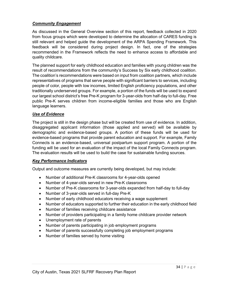#### *Community Engagement*

As discussed in the General Overview section of this report, feedback collected in 2020 from focus groups which were developed to determine the allocation of CARES funding is still relevant and helped guide the development of the ARPA Spending Framework. This feedback will be considered during project design. In fact, one of the strategies recommended in the Framework reflects the need to enhance access to affordable and quality childcare.

The planned support for early childhood education and families with young children was the result of recommendations from the community's Success by Six early childhood coalition. The coalition's recommendations were based on input from coalition partners, which include representatives of programs that serve people with significant barriers to services, including people of color, people with low incomes, limited English proficiency populations, and other traditionally underserved groups. For example, a portion of the funds will be used to expand our largest school district's free Pre-K program for 3-year-olds from half-day to full-day. Free public Pre-K serves children from income-eligible families and those who are English language learners.

#### *Use of Evidence*

The project is still in the design phase but will be created from use of evidence. In addition, disaggregated applicant information (those applied and served) will be available by demographic and evidence-based groups. A portion of these funds will be used for evidence-based programs that provide parent education and support. For example, Family Connects is an evidence-based, universal postpartum support program. A portion of the funding will be used for an evaluation of the impact of the local Family Connects program. The evaluation results will be used to build the case for sustainable funding sources.

#### *Key Performance Indicators*

Output and outcome measures are currently being developed, but may include:

- Number of additional Pre-K classrooms for 4-year-olds opened
- Number of 4-year-olds served in new Pre-K classrooms
- Number of Pre-K classrooms for 3-year-olds expanded from half-day to full-day
- Number of 3-year-olds served in full-day Pre-K
- Number of early childhood educators receiving a wage supplement
- Number of educators supported to further their education in the early childhood field
- Number of families receiving childcare assistance
- Number of providers participating in a family home childcare provider network
- Unemployment rate of parents
- Number of parents participating in job employment programs
- Number of parents successfully completing job employment programs
- Number of families served by home visiting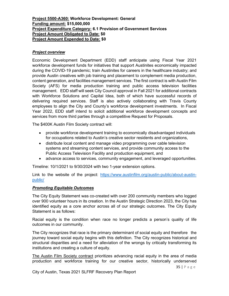#### <span id="page-34-0"></span>**Project 5500-A360: Workforce Development: General Funding amount: \$15,000,000 Project Expenditure Category: 6.1 Provision of Government Services Project Amount Obligated to Date: \$0 Project Amount Expended to Date: \$0**

#### *Project overview*

Economic Development Department (EDD) staff anticipate using Fiscal Year 2021 workforce development funds for initiatives that support Austinites economically impacted during the COVID-19 pandemic; train Austinites for careers in the healthcare industry; and provide Austin creatives with job training and placement to complement media production, content generation, and facilities management services. The first contract is with Austin Film Society (AFS) for media production training and public access television facilities management. EDD staff will seek City Council approval in Fall 2021 for additional contracts with Workforce Solutions and Capital Idea, both of which have successful records of delivering required services. Staff is also actively collaborating with Travis County employees to align the City and County's workforce development investments. In Fiscal Year 2022, EDD staff intend to solicit additional workforce development concepts and services from more third parties through a competitive Request for Proposals.

The \$400K Austin Film Society contract will:

- provide workforce development training to economically disadvantaged individuals for occupations related to Austin's creative sector residents and organizations,
- distribute local content and manage video programming over cable television systems and streaming content services, and provide community access to the Public Access Television Facility and production equipment, and
- advance access to services, community engagement, and leveraged opportunities.

Timeline: 10/1/2021 to 9/30/2024 with two 1-year extension options.

Link to the website of the project: [https://www.austinfilm.org/austin-public/about-austin](https://www.austinfilm.org/austin-public/about-austin-public/)[public/](https://www.austinfilm.org/austin-public/about-austin-public/)

#### *Promoting Equitable Outcomes*

The City Equity Statement was co-created with over 200 community members who logged over 900 volunteer hours in its creation. In the Austin Strategic Direction 2023, the City has identified equity as a core anchor across all of our strategic outcomes. The City Equity Statement is as follows:

Racial equity is the condition when race no longer predicts a person's quality of life outcomes in our community.

The City recognizes that race is the primary determinant of social equity and therefore the journey toward social equity begins with this definition. The City recognizes historical and structural disparities and a need for alleviation of the wrongs by critically transforming its institutions and creating a culture of equity.

The Austin Film Society contract prioritizes advancing racial equity in the area of media production and workforce training for our creative sector, historically underserved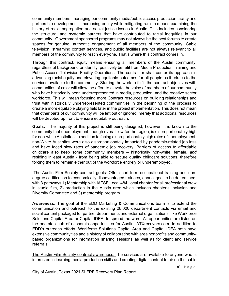community members, managing our community media/public access production facility and partnership development. Increasing equity while mitigating racism means examining the history of racial segregation and social justice issues in Austin. This includes considering the structural and systemic barriers that have contributed to racial inequities in our community. Government sponsored programs may not always be the best forums to create spaces for genuine, authentic engagement of all members of the community. Cable television, streaming content services, and public facilities are not always relevant to all members of the community to reach everyone. That's where this contract comes in.

Through this contract, equity means ensuring all members of the Austin community, regardless of background or identity, positively benefit from Media Production Training and Public Access Television Facility Operations. The contractor shall center its approach in advancing racial equity and elevating equitable outcomes for all people as it relates to the services available to the community. Starting the work to fulfill the contract objectives with communities of color will allow the effort to elevate the voice of members of our community who have historically been underrepresented in media, production, and the creative sector workforce. This will mean focusing more Contract resources on building relationships and trust with historically underrepresented communities in the beginning of the process to create a more equitable playing field later in the project implementation. This does not mean that other parts of our community will be left out or ignored, merely that additional resources will be devoted up front to ensure equitable outreach.

**Goals:** The majority of this project is still being designed, however; it is known to the community that unemployment, though overall low for the region, is disproportionately high for non-white Austinites. In addition to facing disproportionately high rates of unemployment, non-White Austinites were also disproportionately impacted by pandemic-related job loss and have faced slow rates of pandemic job recovery. Barriers of access to affordable childcare also keep some community members – historically non-white, female, *and*  residing in east Austin - from being able to secure quality childcare solutions, therefore forcing them to remain either out of the workforce entirely or underemployed.

The Austin Film Society contract goals: Offer short term occupational training and nondegree certification to economically disadvantaged trainees, annual goal to be determined, with 3 pathways 1) Mentorship with IATSE Local 484, local chapter for all professional crew in studio film, 2) production in the Austin area which includes chapter's Inclusion and Diversity Committee and 3) mentorship program.

**Awareness:** The goal of the EDD Marketing & Communications team is to extend the communication and outreach to the existing 28,000 department contacts via email and social content packaged for partner departments and external organizations, like Workforce Solutions Capital Area or Capital IDEA, to spread the word. All opportunities are listed on the one-stop hub of economic opportunities for Austin: ATXrecovers.com. In addition to EDD's outreach efforts, Workforce Solutions Capital Area and Capital IDEA both have extensive community ties and a history of collaborating with area nonprofits and communitybased organizations for information sharing sessions as well as for client and service referrals.

The Austin Film Society contract awareness: The services are available to anyone who is interested in learning media production skills and creating digital content to air on the cable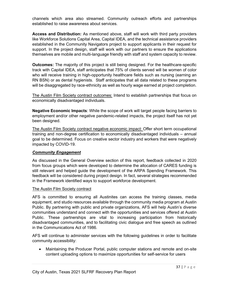channels which area also streamed. Community outreach efforts and partnerships established to raise awareness about services.

**Access and Distribution:** As mentioned above, staff will work with third party providers like Workforce Solutions Capital Area, Capital IDEA, and the technical assistance providers established in the Community Navigators project to support applicants in their request for support. In the project design, staff will work with our partners to ensure the applications themselves are mobile and multi-language friendly with staff and system capacity to review.

**Outcomes:** The majority of this project is still being designed. For the healthcare-specific track with Capital IDEA, staff anticipates that 75% of clients served will be women of color who will receive training in high-opportunity healthcare fields such as nursing (earning an RN BSN) or as dental hygienists. Staff anticipates that all data related to these programs will be disaggregated by race-ethnicity as well as hourly wage earned at project completion.

The Austin Film Society contract outcomes: Intend to establish partnerships that focus on economically disadvantaged individuals.

**Negative Economic Impacts**: While the scope of work will target people facing barriers to employment and/or other negative pandemic-related impacts, the project itself has not yet been designed.

The Austin Film Society contract negative economic impact: Offer short term occupational training and non-degree certification to economically disadvantaged individuals – annual goal to be determined. Focus on creative sector industry and workers that were negatively impacted by COVID-19.

#### *Community Engagement*

As discussed in the General Overview section of this report, feedback collected in 2020 from focus groups which were developed to determine the allocation of CARES funding is still relevant and helped guide the development of the ARPA Spending Framework. This feedback will be considered during project design. In fact, several strategies recommended in the Framework identified ways to support workforce development.

#### The Austin Film Society contract

AFS is committed to ensuring all Austinites can access the training classes, media equipment, and studio resources available through the community media program at Austin Public. By partnering with public and private organizations, AFS will help Austin's diverse communities understand and connect with the opportunities and services offered at Austin Public. These partnerships are vital to increasing participation from historically disadvantaged communities, and to facilitating civic dialogue and free speech as outlined in the Communications Act of 1986.

AFS will continue to administer services with the following guidelines in order to facilitate community accessibility:

• Maintaining the Producer Portal, public computer stations and remote and on-site content uploading options to maximize opportunities for self-service for users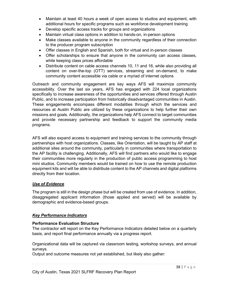- Maintain at least 40 hours a week of open access to studios and equipment, with additional hours for specific programs such as workforce development training
- Develop specific access tracks for groups and organizations
- Maintain virtual class options in addition to hands-on, in-person options
- Make classes available to anyone in the community regardless of their connection to the producer program subscription
- Offer classes in English and Spanish, both for virtual and in-person classes
- Offer scholarships to ensure that anyone in the community can access classes, while keeping class prices affordable
- Distribute content on cable access channels 10, 11 and 16, while also providing all content on over-the-top (OTT) services, streaming and on-demand, to make community content accessible via cable or a myriad of internet options

Outreach and community engagement are key ways AFS will maximize community accessibility. Over the last six years, AFS has engaged with 224 local organizations specifically to increase awareness of the opportunities and services offered through Austin Public, and to increase participation from historically disadvantaged communities in Austin. These engagements encompass different modalities through which the services and resources at Austin Public are utilized by these organizations to help further their own missions and goals. Additionally, the organizations help AFS connect to target communities and provide necessary partnership and feedback to support the community media programs.

AFS will also expand access to equipment and training services to the community through partnerships with host organizations. Classes, like Orientation, will be taught by AP staff at additional sites around the community, particularly in communities where transportation to the AP facility is challenging. Additionally, AFS will find partners who would like to engage their communities more regularly in the production of public access programming to host mini studios. Community members would be trained on how to use the remote production equipment kits and will be able to distribute content to the AP channels and digital platforms directly from their location.

#### *Use of Evidence*

The program is still in the design phase but will be created from use of evidence. In addition, disaggregated applicant information (those applied and served) will be available by demographic and evidence-based groups.

#### *Key Performance Indicators*

#### **Performance Evaluation Structure**

The contractor will report on the Key Performance Indicators detailed below on a quarterly basis, and report final performance annually via a progress report.

Organizational data will be captured via classroom testing, workshop surveys, and annual surveys.

Output and outcome measures not yet established, but likely also gather: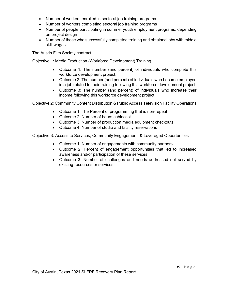- Number of workers enrolled in sectoral job training programs
- Number of workers completing sectoral job training programs
- Number of people participating in summer youth employment programs: depending on project design
- Number of those who successfully completed training and obtained jobs with middle skill wages.

#### The Austin Film Society contract

Objective 1: Media Production (Workforce Development) Training

- Outcome 1: The number (and percent) of individuals who complete this workforce development project.
- Outcome 2: The number (and percent) of individuals who become employed in a job related to their training following this workforce development project.
- Outcome 3: The number (and percent) of individuals who increase their income following this workforce development project.

Objective 2: Community Content Distribution & Public Access Television Facility Operations

- Outcome 1: The Percent of programming that is non-repeat
- Outcome 2: Number of hours cablecast
- Outcome 3: Number of production media equipment checkouts
- Outcome 4: Number of studio and facility reservations

Objective 3: Access to Services, Community Engagement, & Leveraged Opportunities

- Outcome 1: Number of engagements with community partners
- Outcome 2: Percent of engagement opportunities that led to increased awareness and/or participation of these services
- Outcome 3: Number of challenges and needs addressed not served by existing resources or services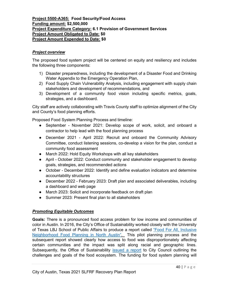#### <span id="page-39-0"></span>**Project 5500-A365: Food Security/Food Access Funding amount: \$2,500,000 Project Expenditure Category: 6.1 Provision of Government Services Project Amount Obligated to Date: \$0 Project Amount Expended to Date: \$0**

#### *Project overview*

The proposed food system project will be centered on equity and resiliency and includes the following three components:

- 1) Disaster preparedness, including the development of a Disaster Food and Drinking Water Appendix to the Emergency Operation Plan,
- 2) Food Supply Chain Vulnerability Analysis, including engagement with supply chain stakeholders and development of recommendations, and
- 3) Development of a community food vision including specific metrics, goals, strategies, and a dashboard.

City staff are actively collaborating with Travis County staff to optimize alignment of the City and County's food planning efforts.

Proposed Food System Planning Process and timeline:

- September November 2021: Develop scope of work, solicit, and onboard a contractor to help lead with the food planning process
- December 2021 April 2022: Recruit and onboard the Community Advisory Committee, conduct listening sessions, co-develop a vision for the plan, conduct a community food assessment
- March 2022: Hold Equity Workshops with all key stakeholders
- April October 2022: Conduct community and stakeholder engagement to develop goals, strategies, and recommended actions
- October December 2022: Identify and define evaluation indicators and determine accountability structures
- December 2022 February 2023: Draft plan and associated deliverables, including a dashboard and web page
- March 2023: Solicit and incorporate feedback on draft plan
- Summer 2023: Present final plan to all stakeholders

#### *Promoting Equitable Outcomes*

**Goals:** There is a pronounced food access problem for low income and communities of color in Austin. In 2016, the City's Office of Sustainability worked closely with the University of Texas LBJ School of Public Affairs to produce a report called ["Food For All, Inclusive](http://austintexas.gov/sites/default/files/files/Sustainability/Food_For_All_FINAL_070616.compressed.pdf)  [Neighborhood Food Planning in North Austin".](http://austintexas.gov/sites/default/files/files/Sustainability/Food_For_All_FINAL_070616.compressed.pdf) This pilot planning process and the subsequent report showed clearly how access to food was disproportionately affecting certain communities and the impact was split along racial and geographic lines. Subsequently, the Office of Sustainability [issued a report](https://www.austintexas.gov/page/improving-food-access) to City Council outlining the challenges and goals of the food ecosystem. The funding for food system planning will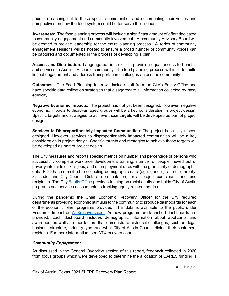prioritize reaching out to these specific communities and documenting their voices and perspectives on how the food system could better serve their needs.

**Awareness:**The food planning process will include a significant amount of effort dedicated to community engagement and community involvement. A community Advisory Board will be created to provide leadership for the entire planning process. A series of community engagement sessions will be hosted to ensure a broad number of community voices can be captured and documented in the process of developing a plan.

**Access and Distribution:** Language barriers exist to providing equal access to benefits and services to Austin's Hispanic community. The food planning process will include multilingual engagement and address transportation challenges across the community.

**Outcomes:** The Food Planning team will include staff from the City's Equity Office and have specific data collection strategies that disaggregate all information collected by race/ ethnicity.

**Negative Economic Impacts:** The project has not yet been designed. However, negative economic impacts to disadvantaged groups will be a key consideration in project design. Specific targets and strategies to achieve those targets will be developed as part of project design.

**Services to Disproportionately Impacted Communities***:* The project has not yet been designed. However, services to disproportionately impacted communities will be a key consideration in project design. Specific targets and strategies to achieve those targets will be developed as part of project design.

The City measures and reports specific metrics on number and percentage of persons who successfully complete workforce development training; number of people moved out of poverty into middle skills jobs; and unemployment rates with the granularity of demographic data. EDD has committed to collecting demographic data (age, gender, race or ethnicity, zip code, and City Council District representation) for all project participants and fund recipients. The City [Equity](http://www.austintexas.gov/department/equity-office) Office provides training on racial equity and holds City of Austin programs and services accountable to tracking equity-related metrics.

During the pandemic the Chief Economic Recovery Officer for the City required departments providing economic stimulus to the community to produce dashboards for each of the economic relief programs provided. This data is available to the public under Economic Impact on [ATXrecovers.com.](https://www.austintexas.gov/department/covid-19-economic-recovery/economic-impact) As new programs are launched dashboards are provided. Each dashboard includes demographic information about applicants and awardees, as well as other factors that demonstrate historical challenges, such as: legal business structure, industry type, and what City of Austin Council district their customers reside in. For more information, see ATXrecovers.com.

#### *Community Engagement*

As discussed in the General Overview section of this report, feedback collected in 2020 from focus groups which were developed to determine the allocation of CARES funding is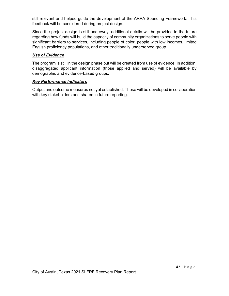still relevant and helped guide the development of the ARPA Spending Framework. This feedback will be considered during project design.

Since the project design is still underway, additional details will be provided in the future regarding how funds will build the capacity of community organizations to serve people with significant barriers to services, including people of color, people with low incomes, limited English proficiency populations, and other traditionally underserved group.

#### *Use of Evidence*

The program is still in the design phase but will be created from use of evidence. In addition, disaggregated applicant information (those applied and served) will be available by demographic and evidence-based groups.

#### *Key Performance Indicators*

Output and outcome measures not yet established. These will be developed in collaboration with key stakeholders and shared in future reporting.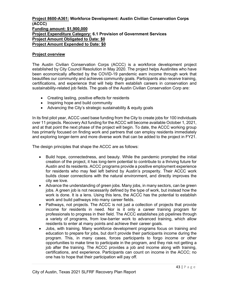#### <span id="page-42-0"></span>**Project 8600-A361: Workforce Development: Austin Civilian Conservation Corps (ACCC) Funding amount: \$1,900,000 Project Expenditure Category: 6.1 Provision of Government Services Project Amount Obligated to Date: \$0 Project Amount Expended to Date: \$0**

#### **Project overview**

The Austin Civilian Conservation Corps (ACCC) is a workforce development project established by City Council Resolution in May 2020. The project helps Austinites who have been economically affected by the COVID-19 pandemic earn income through work that beautifies our community and achieves community goals. Participants also receive training, certifications, and experience that will help them establish careers in conservation and sustainability-related job fields. The goals of the Austin Civilian Conservation Corp are:

- Creating lasting, positive effects for residents
- Inspiring hope and build community
- Advancing the City's strategic sustainability & equity goals

In its first pilot year, ACCC used base funding from the City to create jobs for 100 individuals over 11 projects. Recovery Act funding for the ACCC will become available October 1, 2021, and at that point the next phase of the project will begin. To date, the ACCC working group has primarily focused on finding work and partners that can employ residents immediately and exploring longer-term and more diverse work that can be added to the project in FY21.

The design principles that shape the ACCC are as follows:

- Build hope, connectedness, and beauty. While the pandemic prompted the initial creation of the project, it has long-term potential to contribute to a thriving future for Austin and its residents. ACCC programs provide a positive employment experience for residents who may feel left behind by Austin's prosperity. Their ACCC work builds closer connections with the natural environment, and directly improves the city we love.
- Advance the understanding of green jobs. Many jobs, in many sectors, can be green jobs. A green job is not necessarily defined by the type of work, but instead how the work is done. It is a lens. Using this lens, the ACCC has the potential to establish work and build pathways into many career fields.
- Pathways, not projects. The ACCC is not just a collection of projects that provide income for residents in need. Nor is it only a career training program for professionals to progress in their field. The ACCC establishes job pipelines through a variety of programs, from low-barrier work to advanced training, which allow residents to enter at many points and achieve their career goals.
- Jobs, with training. Many workforce development programs focus on training and education to prepare for jobs, but don't provide their participants income during the program. This, in many cases, forces participants to forgo income or other opportunities to make time to participate in the program, and they risk not getting a job after the training. The ACCC provides a job and income along with training, certifications, and experience. Participants can count on income in the ACCC; no one has to hope that their participation will pay off.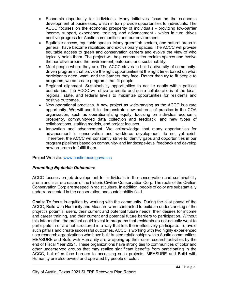- Economic opportunity for individuals. Many initiatives focus on the economic development of businesses, which in turn provide opportunities to individuals. The ACCC focuses on the economic prosperity of individuals - providing low-barrier income, support, experience, training, and advancement - which in turn drives positive progress for Austin communities and our environment.
- Equitable access, equitable spaces. Many green job sectors, and natural areas in general, have become racialized and exclusionary spaces. The ACCC will provide equitable access to green and conservation careers and evolve the view of who typically holds them. The project will help communities reclaim spaces and evolve the narrative around the environment, outdoors, and sustainability.
- Meet people where they are. The ACCC strives to build a diversity of communitydriven programs that provide the right opportunities at the right time, based on what participants need, want, and the barriers they face. Rather than try to fit people to programs, we co-create programs that fit people.
- Regional alignment. Sustainability opportunities to not lie neatly within political boundaries. The ACCC will strive to create and scale collaborations at the local, regional, state, and federal levels to maximize opportunities for residents and positive outcomes.
- New operational practices. A new project as wide-ranging as the ACCC is a rare opportunity. We will use it to demonstrate new patterns of practice in the COA organization, such as operationalizing equity, focusing on individual economic prosperity, community-led data collection and feedback, and new types of collaborations, staffing models, and project focuses.
- Innovation and advancement. We acknowledge that many opportunities for advancement in conservation and workforce development do not yet exist. Therefore, the ACCC will constantly strive to identify gaps and opportunities in our program pipelines based on community- and landscape-level feedback and develop new programs to fulfill them.

Project Website: [www.austintexas.gov/accc](http://www.austintexas.gov/accc)

#### *Promoting Equitable Outcomes:*

ACCC focuses on job development for individuals in the conservation and sustainability arena and is a re-creation of the historic Civilian Conservation Corp. The roots of the Civilian Conservation Corp are steeped in racist culture. In addition, people of color are substantially underrepresented in the conservation and sustainability field.

**Goals**: To focus in-equities by working with the community. During the pilot phase of the ACCC, Build with Humanity and Measure were contracted to build an understanding of the project's potential users, their current and potential future needs, their desires for income and career training, and their current and potential future barriers to participation. Without this information, the project could invest in programs that residents do not actually want to participate in or are not structured in a way that lets them effectively participate. To avoid such pitfalls and create successful outcomes, ACCC is working with two highly experienced user research organizations who have built trusted relationships within Austin communities. MEASURE and Build with Humanity are wrapping up their user research activities by the end of Fiscal Year 2021. These organizations have strong ties to communities of color and other underserved groups that may realize significant benefits from participating in the ACCC, but often face barriers to accessing such projects. MEASURE and Build with Humanity are also owned and operated by people of color.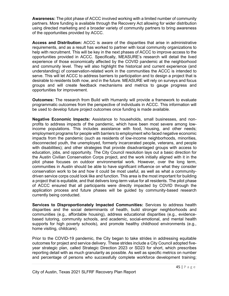**Awareness:** The pilot phase of ACCC involved working with a limited number of community partners. More funding is available through the Recovery Act allowing for wider distribution using directed marketing and a broader variety of community partners to bring awareness of the opportunities provided by ACCC.

**Access and Distribution:** ACCC is aware of the disparities that arise in administrative requirements, and as a result has worked to partner with local community organizations to help with recruitment. This will be key in the next phases of ACCC to improve access to the opportunities provided in ACCC. Specifically, MEASURE's research will detail the lived experience of those economically affected by the COVID pandemic at the neighborhood and community level. They will also highlight the historical and current experience (and understanding) of conservation-related work in the communities the ACCC is intended to serve. This will let ACCC to address barriers to participation and to design a project that is desirable to residents both now, and in the future. MEASURE will rely on surveys and focus groups and will create feedback mechanisms and metrics to gauge progress and opportunities for improvement.

**Outcomes:** The research from Build with Humanity will provide a framework to evaluate programmatic outcomes from the perspective of individuals in ACCC. This information will be used to develop future project outcomes once funding is made available.

**Negative Economic Impacts:** Assistance to households, small businesses, and nonprofits to address impacts of the pandemic, which have been most severe among lowincome populations. This includes assistance with food, housing, and other needs; employment programs for people with barriers to employment who faced negative economic impacts from the pandemic (such as residents of low-income neighborhoods, minorities, disconnected youth, the unemployed, formerly incarcerated people, veterans, and people with disabilities); and other strategies that provide disadvantaged groups with access to education, jobs, and opportunity. The City Council resolution lays out a basic direction for the Austin Civilian Conservation Corps project, and the work initially aligned with it in the pilot phase focuses on outdoor environmental work. However, over the long term, communities in Austin should be able to have significant influence on what they consider conservation work to be and how it could be most useful, as well as what a communitydriven service corps could look like and function. This area is the most important for building a project that is equitable, and that delivers long-term value for all residents. The pilot phase of ACCC ensured that all participants were directly impacted by COVID through the application process and future phases will be guided by community-based research currently being conducted.

**Services to Disproportionately Impacted Communities:** Services to address health disparities and the social determinants of health, build stronger neighborhoods and communities (e.g., affordable housing), address educational disparities (e.g., evidencebased tutoring, community schools, and academic, social-emotional, and mental health supports for high poverty schools), and promote healthy childhood environments (e.g., home visiting, childcare).

Prior to the COVID-19 pandemic, the City began to take strides in addressing equitable outcomes for project and service delivery. These strides include a City Council adopted fiveyear strategic plan, called Strategic Direction 2023 or SD23 for short, which prescribes reporting detail with as much granularity as possible. As well as specific metrics on number and percentage of persons who successfully complete workforce development training;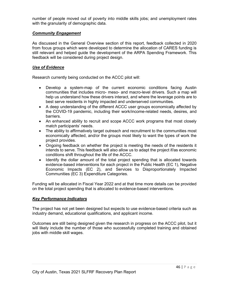number of people moved out of poverty into middle skills jobs; and unemployment rates with the granularity of demographic data.

#### *Community Engagement*

As discussed in the General Overview section of this report, feedback collected in 2020 from focus groups which were developed to determine the allocation of CARES funding is still relevant and helped guide the development of the ARPA Spending Framework. This feedback will be considered during project design.

#### *Use of Evidence*

Research currently being conducted on the ACCC pilot will:

- Develop a system-map of the current economic conditions facing Austin communities that includes micro- meso- and macro-level drivers. Such a map will help us understand how these drivers interact, and where the leverage points are to best serve residents in highly impacted and underserved communities.
- A deep understanding of the different ACCC user groups economically affected by the COVID-19 pandemic, including their work/income-related needs, desires, and barriers.
- An enhanced ability to recruit and scope ACCC work programs that most closely match participants' needs.
- The ability to affirmatively target outreach and recruitment to the communities most economically affected, and/or the groups most likely to want the types of work the project provides.
- Ongoing feedback on whether the project is meeting the needs of the residents it intends to serve. This feedback will also allow us to adapt the project if/as economic conditions shift throughout the life of the ACCC.
- Identify the dollar amount of the total project spending that is allocated towards evidence-based interventions for each project in the Public Health (EC 1), Negative Economic Impacts (EC 2), and Services to Disproportionately Impacted Communities (EC 3) Expenditure Categories.

Funding will be allocated in Fiscal Year 2022 and at that time more details can be provided on the total project spending that is allocated to evidence-based interventions.

#### *Key Performance Indicators*

The project has not yet been designed but expects to use evidence-based criteria such as industry demand, educational qualifications, and applicant income.

Outcomes are still being designed given the research in progress on the ACCC pilot, but it will likely include the number of those who successfully completed training and obtained jobs with middle skill wages.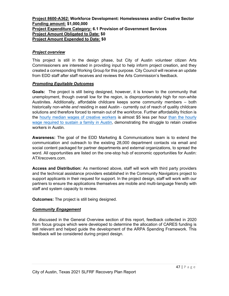#### <span id="page-46-0"></span>**Project 8600-A362: Workforce Development: Homelessness and/or Creative Sector Funding amount: \$1,000,000 Project Expenditure Category: 6.1 Provision of Government Services Project Amount Obligated to Date: \$0 Project Amount Expended to Date: \$0**

#### *Project overview*

This project is still in the design phase, but City of Austin volunteer citizen Arts Commissioners are interested in providing input to help inform project creation, and they created a corresponding Working Group for this purpose. City Council will receive an update from EDD staff after staff receives and reviews the Arts Commission's feedback.

#### *Promoting Equitable Outcomes*

**Goals:**The project is still being designed, however, it is known to the community that unemployment, though overall low for the region, is disproportionately high for non-white Austinites. Additionally, affordable childcare keeps some community members – both historically non-white *and* residing in east Austin - currently out of reach of quality childcare solutions and therefore forced to remain out of the workforce. Further affordability friction is the [hourly](https://data.austintexas.gov/stories/s/jaia-eaet) median wages of [creative](https://data.austintexas.gov/stories/s/jaia-eaet) workers is almost \$5 less per hour than the hourly wage [required](https://data.austintexas.gov/stories/s/rt9q-qkym) to sustain a family in Austin, demonstrating the struggle to retain creative workers in Austin.

**Awareness:** The goal of the EDD Marketing & Communications team is to extend the communication and outreach to the existing 28,000 department contacts via email and social content packaged for partner departments and external organizations, to spread the word. All opportunities are listed on the one-stop hub of economic opportunities for Austin: ATXrecovers.com.

**Access and Distribution:** As mentioned above, staff will work with third party providers and the technical assistance providers established in the Community Navigators project to support applicants in their request for support. In the project design, staff will work with our partners to ensure the applications themselves are mobile and multi-language friendly with staff and system capacity to review.

**Outcomes:** The project is still being designed.

#### *Community Engagement*

As discussed in the General Overview section of this report, feedback collected in 2020 from focus groups which were developed to determine the allocation of CARES funding is still relevant and helped guide the development of the ARPA Spending Framework. This feedback will be considered during project design.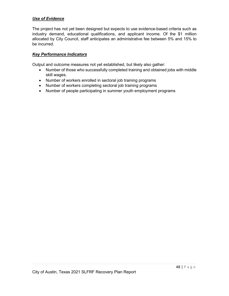#### *Use of Evidence*

The project has not yet been designed but expects to use evidence-based criteria such as industry demand, educational qualifications, and applicant income. Of the \$1 million allocated by City Council, staff anticipates an administrative fee between 5% and 15% to be incurred.

#### *Key Performance Indicators*

Output and outcome measures not yet established, but likely also gather:

- Number of those who successfully completed training and obtained jobs with middle skill wages.
- Number of workers enrolled in sectoral job training programs
- Number of workers completing sectoral job training programs
- Number of people participating in summer youth employment programs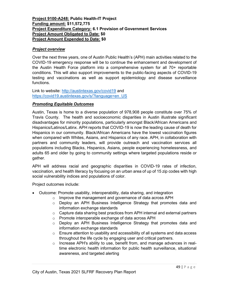#### <span id="page-48-0"></span>**Project 9100-A248: Public Health-IT Project Funding amount: \$11,572,775 Project Expenditure Category: 6.1 Provision of Government Services Project Amount Obligated to Date: \$0 Project Amount Expended to Date: \$0**

#### *Project overview*

Over the next three years, one of Austin Public Health's (APH) main activities related to the COVID-19 emergency response will be to continue the enhancement and development of the Austin Health Force platform into a comprehensive system for all 70+ reportable conditions. This will also support improvements to the public-facing aspects of COVID-19 testing and vaccinations as well as support epidemiology and disease surveillance functions.

Link to website:<http://austintexas.gov/covid19> and [https://covid19.austintexas.gov/s/?language=en\\_US](https://covid19.austintexas.gov/s/?language=en_US)

#### *Promoting Equitable Outcomes*

Austin, Texas is home to a diverse population of 978,908 people constitute over 75% of Travis County. The health and socioeconomic disparities in Austin illustrate significant disadvantages for minority populations, particularly amongst Black/African Americans and Hispanics/Latinos/Latinx. APH reports that COVID-19 is now the leading cause of death for Hispanics in our community. Black/African Americans have the lowest vaccination figures when compared with Whites, Asians, and Hispanics of any race. APH, in collaboration with partners and community leaders, will provide outreach and vaccination services all populations including Blacks, Hispanics, Asians, people experiencing homelessness, and adults 65 and older by going to community settings where targeted populations reside or gather.

APH will address racial and geographic disparities in COVID-19 rates of infection, vaccination, and health literacy by focusing on an urban area of up of 15 zip codes with high social vulnerability indices and populations of color.

Project outcomes include:

- Outcome: Promote usability, interoperability, data sharing, and integration
	- o Improve the management and governance of data across APH
	- o Deploy an APH Business Intelligence Strategy that promotes data and information exchange standards
	- $\circ$  Capture data sharing best practices from APH internal and external partners
	- o Promote interoperable exchange of data across APH
	- $\circ$  Deploy an APH Business Intelligence Strategy that promotes data and information exchange standards
	- $\circ$  Ensure attention to usability and accessibility of all systems and data access throughout the life cycle by engaging user and critical partners.
	- $\circ$  Increase APH's ability to use, benefit from, and manage advances in realtime electronic health information for public health surveillance, situational awareness, and targeted alerting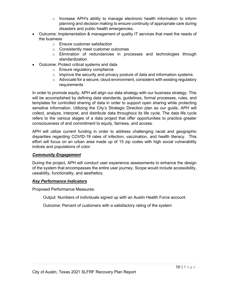- $\circ$  Increase APH's ability to manage electronic health information to inform planning and decision making to ensure continuity of appropriate care during disasters and public health emergencies.
- Outcome: Implementation & management of quality IT services that meet the needs of the business
	- o Ensure customer satisfaction
	- o Consistently meet customer outcomes
	- o Elimination of redundancies in processes and technologies through standardization
- Outcome: Protect critical systems and data
	- o Ensure regulatory compliance
	- $\circ$  Improve the security and privacy posture of data and information systems
	- $\circ$  Advocate for a secure, cloud environment, consistent with existing regulatory requirements

In order to promote equity, APH will align our data strategy with our business strategy. This will be accomplished by defining data standards, guidelines, formal processes, rules, and templates for controlled sharing of data in order to support open sharing while protecting sensitive information. Utilizing the City's Strategic Direction plan as our guide, APH will collect, analyze, interpret, and distribute data throughout its life cycle. The data life cycle refers to the various stages of a data project that offer opportunities to practice greater consciousness of and commitment to equity, fairness, and access.

APH will utilize current funding in order to address challenging racial and geographic disparities regarding COVID-19 rates of infection, vaccination, and health literacy. This effort will focus on an urban area made up of 15 zip codes with high social vulnerability indices and populations of color.

#### *Community Engagement*

During the project, APH will conduct user experience assessments to enhance the design of the system that encompasses the entire user journey. Scope would include accessibility, useability, functionality, and aesthetics.

#### *Key Performance Indicators*

Proposed Performance Measures:

Output: Numbers of individuals signed up with an Austin Health Force account.

Outcome: Percent of customers with a satisfactory rating of the system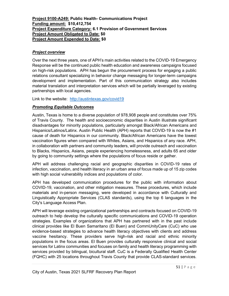#### <span id="page-50-0"></span>**Project 9100-A249: Public Health- Communications Project Funding amount: \$10,412,754 Project Expenditure Category: 6.1 Provision of Government Services Project Amount Obligated to Date: \$0 Project Amount Expended to Date: \$0**

#### *Project overview*

Over the next three years, one of APH's main activities related to the COVID-19 Emergency Response will be the continued public health education and awareness campaigns focused on high-risk populations. APH has begun the procurement process for engaging a public relations consultant specializing in behavior change messaging for longer-term campaigns development and implementation. Part of this communication strategy also includes material translation and interpretation services which will be partially leveraged by existing partnerships with local agencies.

Link to the website: <http://austintexas.gov/covid19>

#### *Promoting Equitable Outcomes*

Austin, Texas is home to a diverse population of 978,908 people and constitutes over 75% of Travis County. The health and socioeconomic disparities in Austin illustrate significant disadvantages for minority populations, particularly amongst Black/African Americans and Hispanics/Latinos/Latinx. Austin Public Health (APH) reports that COVID-19 is now the #1 cause of death for Hispanics in our community. Black/African Americans have the lowest vaccination figures when compared with Whites, Asians, and Hispanics of any race. APH, in collaboration with partners and community leaders, will provide outreach and vaccination to Blacks, Hispanics, Asians, people experiencing homelessness, and adults 65 and older by going to community settings where the populations of focus reside or gather.

APH will address challenging racial and geographic disparities in COVID-19 rates of infection, vaccination, and health literacy in an urban area of focus made up of 15 zip codes with high social vulnerability indices and populations of color.

APH has developed communication procedures for the public with information about COVID-19, vaccination, and other mitigation measures. These procedures, which include materials and in-person messaging, were developed in accordance with Culturally and Linguistically Appropriate Services (CLAS standards), using the top 6 languages in the City's Language Access Plan.

APH will leverage existing organizational partnerships and contracts focused on COVID-19 outreach to help develop the culturally specific communications and COVID-19 operation strategies. Examples of organizations that APH has partnered with in the past include clinical provides like El Buen Samaritano (El Buen) and CommUnityCare (CuC) who use evidence-based strategies to advance health literacy objectives with clients and address vaccine hesitancy. These providers serve high-risk and racial and ethnic minority populations in the focus areas. El Buen provides culturally responsive clinical and social services for Latinx communities and focuses on family and health literacy programming with services provided by bilingual, bicultural staff. CuC is a Federally Qualified Health Center (FQHC) with 25 locations throughout Travis County that provide CLAS-standard services.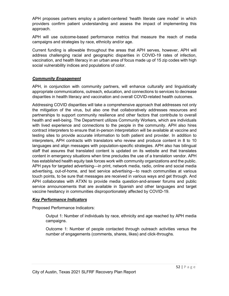APH proposes partners employ a patient-centered 'health literate care model' in which providers confirm patient understanding and assess the impact of implementing this approach.

APH will use outcome-based performance metrics that measure the reach of media campaigns and strategies by race, ethnicity and/or age.

Current funding is allowable throughout the areas that APH serves, however, APH will address challenging racial and geographic disparities in COVID-19 rates of infection, vaccination, and health literacy in an urban area of focus made up of 15 zip codes with high social vulnerability indices and populations of color.

#### *Community Engagement*

APH, in conjunction with community partners, will enhance culturally and linguistically appropriate communications, outreach, education, and connections to services to decrease disparities in health literacy and vaccination and overall COVID-related health outcomes.

Addressing COVID disparities will take a comprehensive approach that addresses not only the mitigation of the virus, but also one that collaboratively addresses resources and partnerships to support community resilience and other factors that contribute to overall health and well-being. The Department utilizes Community Workers, which are individuals with lived experience and connections to the people in the community. APH also hires contract interpreters to ensure that in-person interpretation will be available at vaccine and testing sites to provide accurate information to both patient and provider. In addition to interpreters, APH contracts with translators who review and produce content in 8 to 10 languages and align messages with population-specific strategies. APH also has bilingual staff that assures that translated content is updated on its website and that translates content in emergency situations when time precludes the use of a translation vendor. APH has established health equity task forces work with community organizations and the public. APH pays for targeted advertising—in print, network media, radio, online and social media advertising, out-of-home, and text service advertising—to reach communities at various touch points, to be sure that messages are received in various ways and get through. And APH collaborates with ATXN to provide media question-and-answer forums and public service announcements that are available in Spanish and other languages and target vaccine hesitancy in communities disproportionately affected by COVID-19.

#### *Key Performance Indicators*

Proposed Performance Indicators:

Output 1: Number of individuals by race, ethnicity and age reached by APH media campaigns.

Outcome 1: Number of people contacted through outreach activities versus the number of engagements (comments, shares, likes) and click-throughs.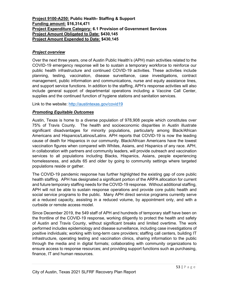#### <span id="page-52-0"></span>**Project 9100-A250: Public Health- Staffing & Support Funding amount: \$16,314,471 Project Expenditure Category: 6.1 Provision of Government Services Project Amount Obligated to Date: \$430,145 Project Amount Expended to Date: \$430,145**

#### *Project overview*

Over the next three years, one of Austin Public Health's (APH) main activities related to the COVID-19 emergency response will be to sustain a temporary workforce to reinforce our public health infrastructure and continued COVID-19 activities. These activities include planning, testing, vaccination, disease surveillance, case investigations, contract management, public information and communications, nurse and equity assistance lines, and support service functions. In addition to the staffing, APH's response activities will also include general support of departmental operations including a Vaccine Call Center, supplies and the continued function of hygiene stations and sanitation services.

Link to the website:<http://austintexas.gov/covid19>

#### *Promoting Equitable Outcomes*

Austin, Texas is home to a diverse population of 978,908 people which constitutes over 75% of Travis County. The health and socioeconomic disparities in Austin illustrate significant disadvantages for minority populations, particularly among Black/African Americans and Hispanics/Latinos/Latinx. APH reports that COVID-19 is now the leading cause of death for Hispanics in our community. Black/African Americans have the lowest vaccination figures when compared with Whites, Asians, and Hispanics of any race. APH, in collaboration with partners and community leaders, will provide outreach and vaccination services to all populations including Blacks, Hispanics, Asians, people experiencing homelessness, and adults 65 and older by going to community settings where targeted populations reside or gather.

The COVID-19 pandemic response has further highlighted the existing gap of core public health staffing. APH has designated a significant portion of the ARPA allocation for current and future temporary staffing needs for the COVID-19 response. Without additional staffing, APH will not be able to sustain response operations and provide core public health and social service programs to the public. Many APH direct service programs currently serve at a reduced capacity, assisting in a reduced volume, by appointment only, and with a curbside or remote access model.

Since December 2019, the 549 staff of APH and hundreds of temporary staff have been on the frontline of the COVID-19 response, working diligently to protect the health and safety of Austin and Travis County, without significant breaks and limited overtime. The work performed includes epidemiology and disease surveillance, including case investigations of positive individuals; working with long-term care providers; staffing call centers, building IT infrastructure, operating testing and vaccination clinics, sharing information to the public through the media and in digital formats; collaborating with community organizations to ensure access to response resources; and providing support functions such as purchasing, finance, IT and human resources.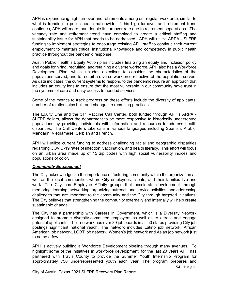APH is experiencing high turnover and retirements among our regular workforce, similar to what is trending in public health nationwide. If this high turnover and retirement trend continues, APH will more than double its turnover rate due to retirement separations. The vacancy rate and retirement trend have combined to create a critical staffing and sustainability issue for APH that needs to be addressed. APH will utilize ARPA - SLFRF funding to implement strategies to encourage existing APH staff to continue their current employment to maintain critical institutional knowledge and competency in public health practice throughout the pandemic response.

Austin Public Health's Equity Action plan includes finalizing an equity and inclusion policy and goals for hiring, recruiting, and retaining a diverse workforce. APH also has a Workforce Development Plan, which includes objectives to consider the characteristics of the populations served, and to recruit a diverse workforce reflective of the population served. As data indicates, the current systems to respond to the pandemic require an approach that includes an equity lens to ensure that the most vulnerable in our community have trust in the systems of care and easy access to needed services.

Some of the metrics to track progress on these efforts include the diversity of applicants, number of relationships built and changes to recruiting practices.

The Equity Line and the 311 Vaccine Call Center, both funded through APH's ARPA - SLFRF dollars, allows the department to be more responsive to historically underserved populations by providing individuals with information and resources to address health disparities. The Call Centers take calls in various languages including Spanish, Arabic, Mandarin, Vietnamese, Serbian and French.

APH will utilize current funding to address challenging racial and geographic disparities regarding COVID-19 rates of infection, vaccination, and health literacy. This effort will focus on an urban area made up of 15 zip codes with high social vulnerability indices and populations of color.

#### *Community Engagement*

The City acknowledges in the importance of fostering community within the organization as well as the local communities where City employees, clients, and their families live and work. The City has Employee Affinity groups that accelerate development through mentoring, learning, networking, organizing outreach and service activities, and addressing challenges that are important to the community and the City through targeted initiatives. The City believes that strengthening the community externally and internally will help create sustainable change.

The City has a partnership with Careers in Government, which is a Diversity Network designed to promote diversity-committed employers as well as to attract and engage potential applicants. Their network has over 80 job boards in all 50 states providing City job postings significant national reach. The network includes Latino job network, African American job network, LGBT job network, Women's job network and Asian job network just to name a few.

APH is actively building a Workforce Development pipeline through many avenues. To highlight some of the initiatives in workforce development, for the last 20 years APH has partnered with Travis County to provide the Summer Youth Internship Program for approximately 750 underrepresented youth each year. The program prepares and